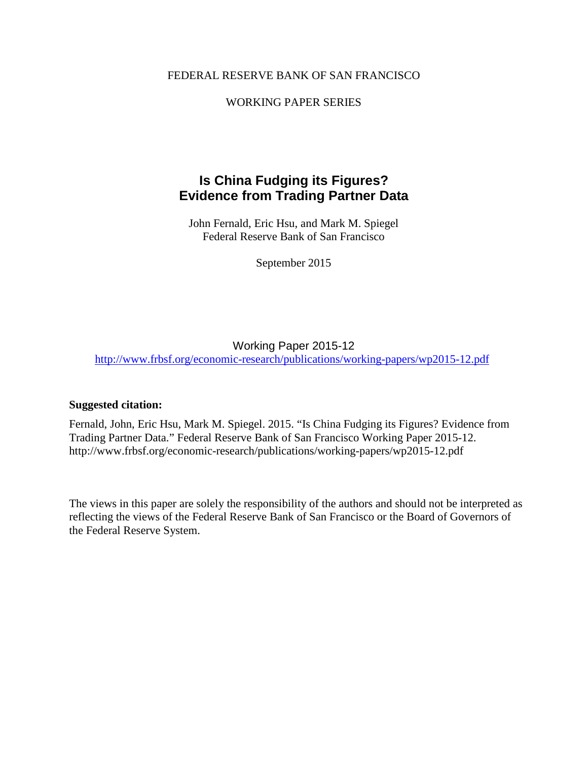# FEDERAL RESERVE BANK OF SAN FRANCISCO

# WORKING PAPER SERIES

# **Is China Fudging its Figures? Evidence from Trading Partner Data**

John Fernald, Eric Hsu, and Mark M. Spiegel Federal Reserve Bank of San Francisco

September 2015

Working Paper 2015-12 <http://www.frbsf.org/economic-research/publications/working-papers/wp2015-12.pdf>

#### **Suggested citation:**

Fernald, John, Eric Hsu, Mark M. Spiegel. 2015. "Is China Fudging its Figures? Evidence from Trading Partner Data." Federal Reserve Bank of San Francisco Working Paper 2015-12. http://www.frbsf.org/economic-research/publications/working-papers/wp2015-12.pdf

The views in this paper are solely the responsibility of the authors and should not be interpreted as reflecting the views of the Federal Reserve Bank of San Francisco or the Board of Governors of the Federal Reserve System.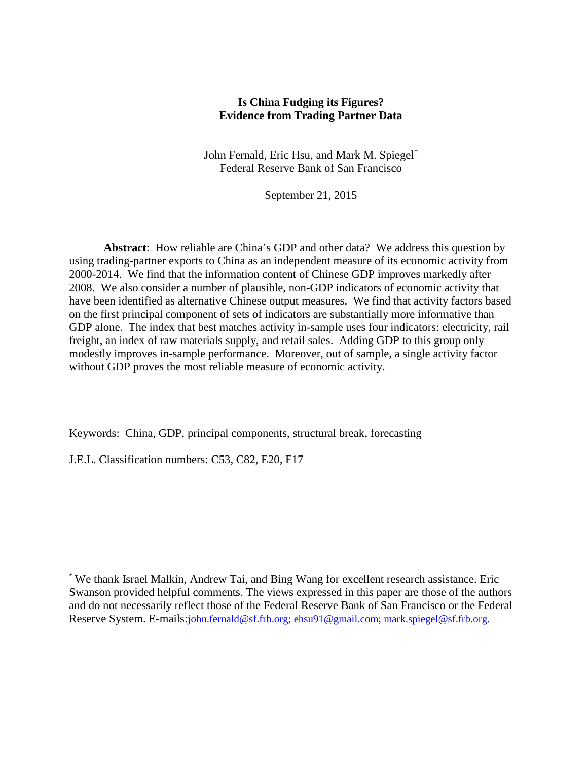# **Is China Fudging its Figures? Evidence from Trading Partner Data**

John Fernald, Eric Hsu, and Mark M. Spiegel\* Federal Reserve Bank of San Francisco

September 21, 2015

**Abstract**: How reliable are China's GDP and other data? We address this question by using trading-partner exports to China as an independent measure of its economic activity from 2000-2014. We find that the information content of Chinese GDP improves markedly after 2008. We also consider a number of plausible, non-GDP indicators of economic activity that have been identified as alternative Chinese output measures. We find that activity factors based on the first principal component of sets of indicators are substantially more informative than GDP alone. The index that best matches activity in-sample uses four indicators: electricity, rail freight, an index of raw materials supply, and retail sales. Adding GDP to this group only modestly improves in-sample performance. Moreover, out of sample, a single activity factor without GDP proves the most reliable measure of economic activity.

Keywords: China, GDP, principal components, structural break, forecasting

J.E.L. Classification numbers: C53, C82, E20, F17

\* We thank Israel Malkin, Andrew Tai, and Bing Wang for excellent research assistance. Eric Swanson provided helpful comments. The views expressed in this paper are those of the authors and do not necessarily reflect those of the Federal Reserve Bank of San Francisco or the Federal Reserve System. E-mails[:john.fernald@sf.frb.org;](mailto:john.fernald@sf.frb.org) ehsu91@gmail.com; mark.spiegel@sf.frb.org.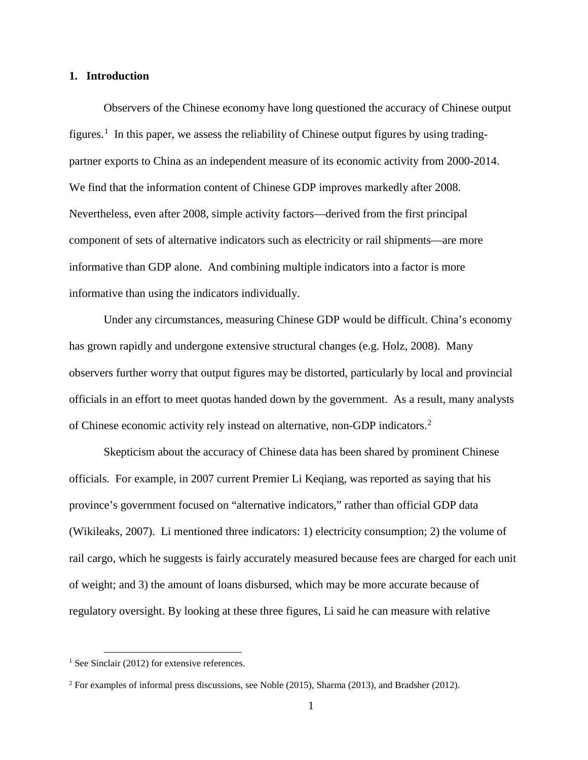#### **1. Introduction**

Observers of the Chinese economy have long questioned the accuracy of Chinese output figures.<sup>[1](#page-2-0)</sup> In this paper, we assess the reliability of Chinese output figures by using tradingpartner exports to China as an independent measure of its economic activity from 2000-2014. We find that the information content of Chinese GDP improves markedly after 2008. Nevertheless, even after 2008, simple activity factors—derived from the first principal component of sets of alternative indicators such as electricity or rail shipments—are more informative than GDP alone. And combining multiple indicators into a factor is more informative than using the indicators individually.

Under any circumstances, measuring Chinese GDP would be difficult. China's economy has grown rapidly and undergone extensive structural changes (e.g. Holz, 2008). Many observers further worry that output figures may be distorted, particularly by local and provincial officials in an effort to meet quotas handed down by the government. As a result, many analysts of Chinese economic activity rely instead on alternative, non-GDP indicators.[2](#page-2-1)

Skepticism about the accuracy of Chinese data has been shared by prominent Chinese officials. For example, in 2007 current Premier Li Keqiang, was reported as saying that his province's government focused on "alternative indicators," rather than official GDP data (Wikileaks, 2007). Li mentioned three indicators: 1) electricity consumption; 2) the volume of rail cargo, which he suggests is fairly accurately measured because fees are charged for each unit of weight; and 3) the amount of loans disbursed, which may be more accurate because of regulatory oversight. By looking at these three figures, Li said he can measure with relative

<span id="page-2-0"></span> $<sup>1</sup>$  See Sinclair (2012) for extensive references.</sup>

<span id="page-2-1"></span><sup>2</sup> For examples of informal press discussions, see Noble (2015), Sharma (2013), and Bradsher (2012).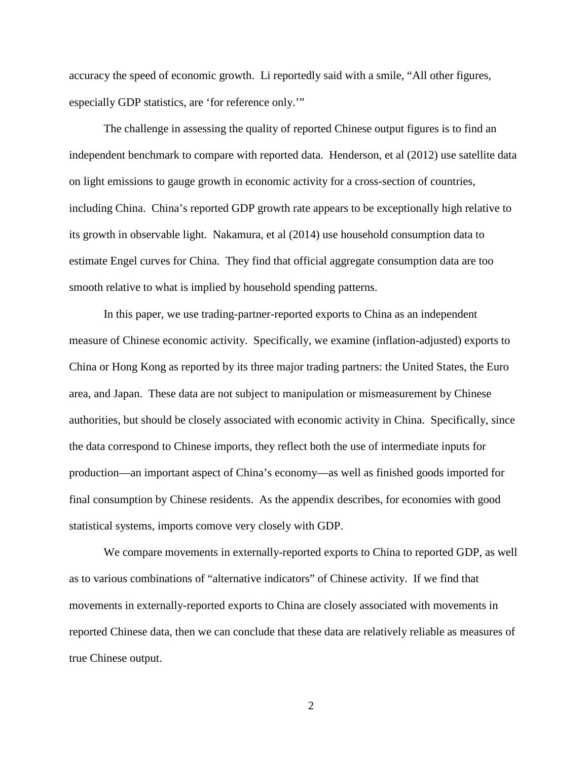accuracy the speed of economic growth. Li reportedly said with a smile, "All other figures, especially GDP statistics, are 'for reference only.'"

The challenge in assessing the quality of reported Chinese output figures is to find an independent benchmark to compare with reported data. Henderson, et al (2012) use satellite data on light emissions to gauge growth in economic activity for a cross-section of countries, including China. China's reported GDP growth rate appears to be exceptionally high relative to its growth in observable light. Nakamura, et al (2014) use household consumption data to estimate Engel curves for China. They find that official aggregate consumption data are too smooth relative to what is implied by household spending patterns.

In this paper, we use trading-partner-reported exports to China as an independent measure of Chinese economic activity. Specifically, we examine (inflation-adjusted) exports to China or Hong Kong as reported by its three major trading partners: the United States, the Euro area, and Japan. These data are not subject to manipulation or mismeasurement by Chinese authorities, but should be closely associated with economic activity in China. Specifically, since the data correspond to Chinese imports, they reflect both the use of intermediate inputs for production—an important aspect of China's economy—as well as finished goods imported for final consumption by Chinese residents. As the appendix describes, for economies with good statistical systems, imports comove very closely with GDP.

We compare movements in externally-reported exports to China to reported GDP, as well as to various combinations of "alternative indicators" of Chinese activity. If we find that movements in externally-reported exports to China are closely associated with movements in reported Chinese data, then we can conclude that these data are relatively reliable as measures of true Chinese output.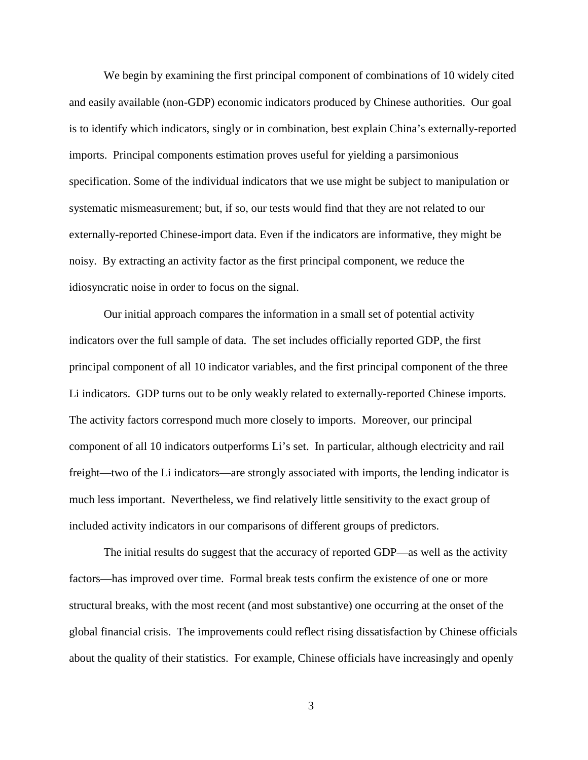We begin by examining the first principal component of combinations of 10 widely cited and easily available (non-GDP) economic indicators produced by Chinese authorities. Our goal is to identify which indicators, singly or in combination, best explain China's externally-reported imports. Principal components estimation proves useful for yielding a parsimonious specification. Some of the individual indicators that we use might be subject to manipulation or systematic mismeasurement; but, if so, our tests would find that they are not related to our externally-reported Chinese-import data. Even if the indicators are informative, they might be noisy. By extracting an activity factor as the first principal component, we reduce the idiosyncratic noise in order to focus on the signal.

Our initial approach compares the information in a small set of potential activity indicators over the full sample of data. The set includes officially reported GDP, the first principal component of all 10 indicator variables, and the first principal component of the three Li indicators. GDP turns out to be only weakly related to externally-reported Chinese imports. The activity factors correspond much more closely to imports. Moreover, our principal component of all 10 indicators outperforms Li's set. In particular, although electricity and rail freight—two of the Li indicators—are strongly associated with imports, the lending indicator is much less important. Nevertheless, we find relatively little sensitivity to the exact group of included activity indicators in our comparisons of different groups of predictors.

The initial results do suggest that the accuracy of reported GDP—as well as the activity factors—has improved over time. Formal break tests confirm the existence of one or more structural breaks, with the most recent (and most substantive) one occurring at the onset of the global financial crisis. The improvements could reflect rising dissatisfaction by Chinese officials about the quality of their statistics. For example, Chinese officials have increasingly and openly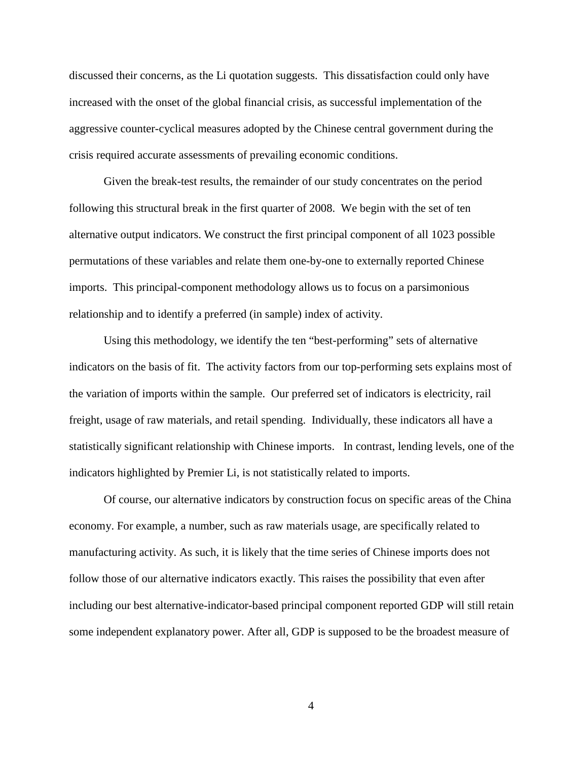discussed their concerns, as the Li quotation suggests. This dissatisfaction could only have increased with the onset of the global financial crisis, as successful implementation of the aggressive counter-cyclical measures adopted by the Chinese central government during the crisis required accurate assessments of prevailing economic conditions.

Given the break-test results, the remainder of our study concentrates on the period following this structural break in the first quarter of 2008. We begin with the set of ten alternative output indicators. We construct the first principal component of all 1023 possible permutations of these variables and relate them one-by-one to externally reported Chinese imports. This principal-component methodology allows us to focus on a parsimonious relationship and to identify a preferred (in sample) index of activity.

Using this methodology, we identify the ten "best-performing" sets of alternative indicators on the basis of fit. The activity factors from our top-performing sets explains most of the variation of imports within the sample. Our preferred set of indicators is electricity, rail freight, usage of raw materials, and retail spending. Individually, these indicators all have a statistically significant relationship with Chinese imports. In contrast, lending levels, one of the indicators highlighted by Premier Li, is not statistically related to imports.

Of course, our alternative indicators by construction focus on specific areas of the China economy. For example, a number, such as raw materials usage, are specifically related to manufacturing activity. As such, it is likely that the time series of Chinese imports does not follow those of our alternative indicators exactly. This raises the possibility that even after including our best alternative-indicator-based principal component reported GDP will still retain some independent explanatory power. After all, GDP is supposed to be the broadest measure of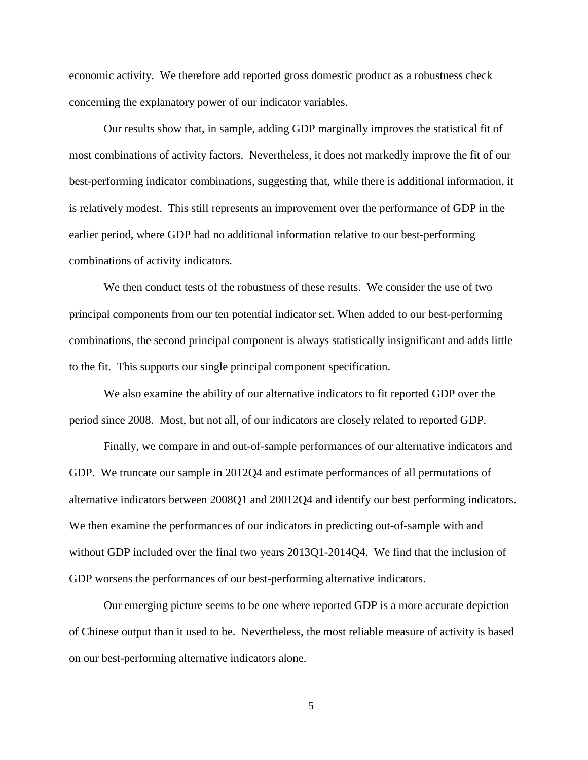economic activity. We therefore add reported gross domestic product as a robustness check concerning the explanatory power of our indicator variables.

Our results show that, in sample, adding GDP marginally improves the statistical fit of most combinations of activity factors. Nevertheless, it does not markedly improve the fit of our best-performing indicator combinations, suggesting that, while there is additional information, it is relatively modest. This still represents an improvement over the performance of GDP in the earlier period, where GDP had no additional information relative to our best-performing combinations of activity indicators.

We then conduct tests of the robustness of these results. We consider the use of two principal components from our ten potential indicator set. When added to our best-performing combinations, the second principal component is always statistically insignificant and adds little to the fit. This supports our single principal component specification.

We also examine the ability of our alternative indicators to fit reported GDP over the period since 2008. Most, but not all, of our indicators are closely related to reported GDP.

Finally, we compare in and out-of-sample performances of our alternative indicators and GDP. We truncate our sample in 2012Q4 and estimate performances of all permutations of alternative indicators between 2008Q1 and 20012Q4 and identify our best performing indicators. We then examine the performances of our indicators in predicting out-of-sample with and without GDP included over the final two years  $2013Q1-2014Q4$ . We find that the inclusion of GDP worsens the performances of our best-performing alternative indicators.

Our emerging picture seems to be one where reported GDP is a more accurate depiction of Chinese output than it used to be. Nevertheless, the most reliable measure of activity is based on our best-performing alternative indicators alone.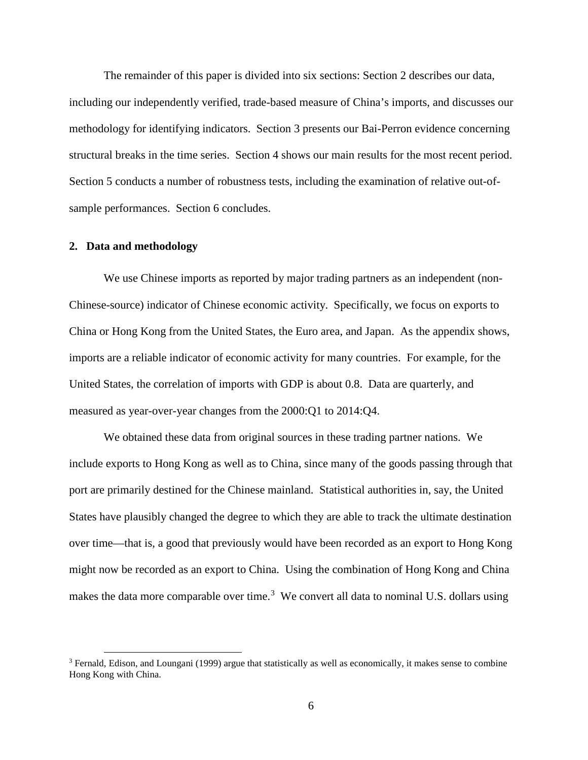The remainder of this paper is divided into six sections: Section 2 describes our data, including our independently verified, trade-based measure of China's imports, and discusses our methodology for identifying indicators. Section 3 presents our Bai-Perron evidence concerning structural breaks in the time series. Section 4 shows our main results for the most recent period. Section 5 conducts a number of robustness tests, including the examination of relative out-ofsample performances. Section 6 concludes.

#### **2. Data and methodology**

We use Chinese imports as reported by major trading partners as an independent (non-Chinese-source) indicator of Chinese economic activity. Specifically, we focus on exports to China or Hong Kong from the United States, the Euro area, and Japan. As the appendix shows, imports are a reliable indicator of economic activity for many countries. For example, for the United States, the correlation of imports with GDP is about 0.8. Data are quarterly, and measured as year-over-year changes from the 2000:Q1 to 2014:Q4.

We obtained these data from original sources in these trading partner nations. We include exports to Hong Kong as well as to China, since many of the goods passing through that port are primarily destined for the Chinese mainland. Statistical authorities in, say, the United States have plausibly changed the degree to which they are able to track the ultimate destination over time—that is, a good that previously would have been recorded as an export to Hong Kong might now be recorded as an export to China. Using the combination of Hong Kong and China makes the data more comparable over time.<sup>[3](#page-7-0)</sup> We convert all data to nominal U.S. dollars using

<span id="page-7-0"></span> $3$  Fernald, Edison, and Loungani (1999) argue that statistically as well as economically, it makes sense to combine Hong Kong with China.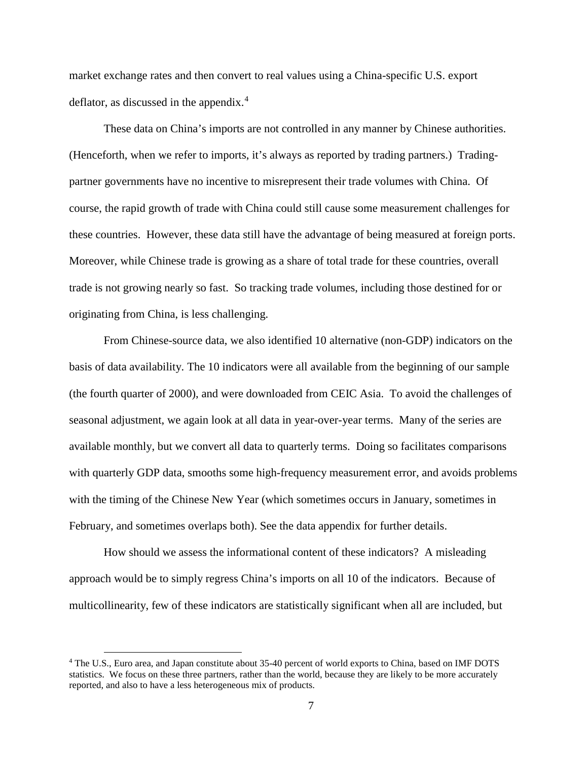market exchange rates and then convert to real values using a China-specific U.S. export deflator, as discussed in the appendix. [4](#page-8-0)

These data on China's imports are not controlled in any manner by Chinese authorities. (Henceforth, when we refer to imports, it's always as reported by trading partners.) Tradingpartner governments have no incentive to misrepresent their trade volumes with China. Of course, the rapid growth of trade with China could still cause some measurement challenges for these countries. However, these data still have the advantage of being measured at foreign ports. Moreover, while Chinese trade is growing as a share of total trade for these countries, overall trade is not growing nearly so fast. So tracking trade volumes, including those destined for or originating from China, is less challenging.

From Chinese-source data, we also identified 10 alternative (non-GDP) indicators on the basis of data availability. The 10 indicators were all available from the beginning of our sample (the fourth quarter of 2000), and were downloaded from CEIC Asia. To avoid the challenges of seasonal adjustment, we again look at all data in year-over-year terms. Many of the series are available monthly, but we convert all data to quarterly terms. Doing so facilitates comparisons with quarterly GDP data, smooths some high-frequency measurement error, and avoids problems with the timing of the Chinese New Year (which sometimes occurs in January, sometimes in February, and sometimes overlaps both). See the data appendix for further details.

How should we assess the informational content of these indicators? A misleading approach would be to simply regress China's imports on all 10 of the indicators. Because of multicollinearity, few of these indicators are statistically significant when all are included, but

<span id="page-8-0"></span> <sup>4</sup> The U.S., Euro area, and Japan constitute about 35-40 percent of world exports to China, based on IMF DOTS statistics. We focus on these three partners, rather than the world, because they are likely to be more accurately reported, and also to have a less heterogeneous mix of products.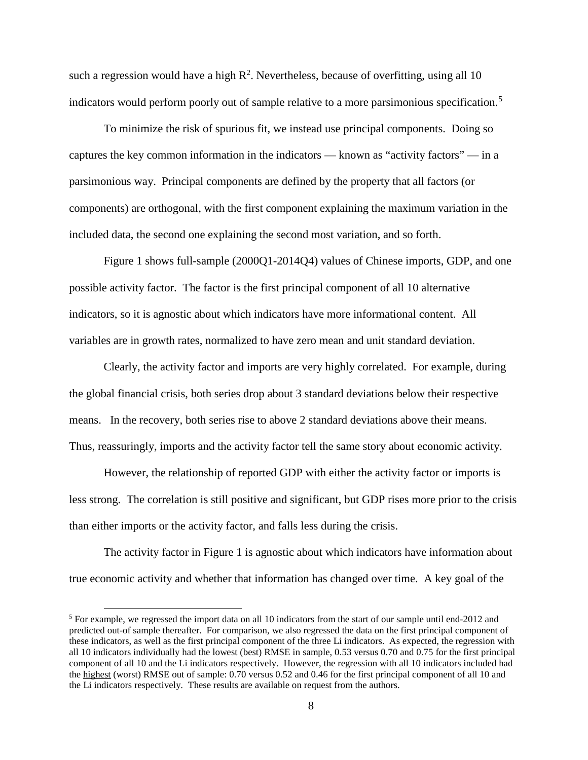such a regression would have a high  $R^2$ . Nevertheless, because of overfitting, using all 10 indicators would perform poorly out of sample relative to a more parsimonious specification. [5](#page-9-0)

To minimize the risk of spurious fit, we instead use principal components. Doing so captures the key common information in the indicators — known as "activity factors" — in a parsimonious way. Principal components are defined by the property that all factors (or components) are orthogonal, with the first component explaining the maximum variation in the included data, the second one explaining the second most variation, and so forth.

Figure 1 shows full-sample (2000Q1-2014Q4) values of Chinese imports, GDP, and one possible activity factor. The factor is the first principal component of all 10 alternative indicators, so it is agnostic about which indicators have more informational content. All variables are in growth rates, normalized to have zero mean and unit standard deviation.

Clearly, the activity factor and imports are very highly correlated. For example, during the global financial crisis, both series drop about 3 standard deviations below their respective means. In the recovery, both series rise to above 2 standard deviations above their means. Thus, reassuringly, imports and the activity factor tell the same story about economic activity.

However, the relationship of reported GDP with either the activity factor or imports is less strong. The correlation is still positive and significant, but GDP rises more prior to the crisis than either imports or the activity factor, and falls less during the crisis.

The activity factor in Figure 1 is agnostic about which indicators have information about true economic activity and whether that information has changed over time. A key goal of the

<span id="page-9-0"></span><sup>&</sup>lt;sup>5</sup> For example, we regressed the import data on all 10 indicators from the start of our sample until end-2012 and predicted out-of sample thereafter. For comparison, we also regressed the data on the first principal component of these indicators, as well as the first principal component of the three Li indicators. As expected, the regression with all 10 indicators individually had the lowest (best) RMSE in sample, 0.53 versus 0.70 and 0.75 for the first principal component of all 10 and the Li indicators respectively. However, the regression with all 10 indicators included had the highest (worst) RMSE out of sample: 0.70 versus 0.52 and 0.46 for the first principal component of all 10 and the Li indicators respectively. These results are available on request from the authors.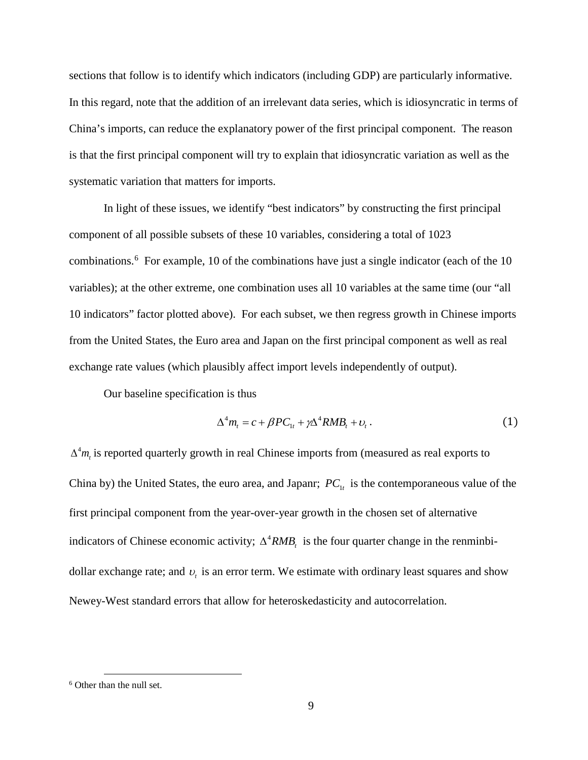sections that follow is to identify which indicators (including GDP) are particularly informative. In this regard, note that the addition of an irrelevant data series, which is idiosyncratic in terms of China's imports, can reduce the explanatory power of the first principal component. The reason is that the first principal component will try to explain that idiosyncratic variation as well as the systematic variation that matters for imports.

In light of these issues, we identify "best indicators" by constructing the first principal component of all possible subsets of these 10 variables, considering a total of 1023 combinations. [6](#page-10-0) For example, 10 of the combinations have just a single indicator (each of the 10 variables); at the other extreme, one combination uses all 10 variables at the same time (our "all 10 indicators" factor plotted above). For each subset, we then regress growth in Chinese imports from the United States, the Euro area and Japan on the first principal component as well as real exchange rate values (which plausibly affect import levels independently of output).

Our baseline specification is thus

$$
\Delta^4 m_t = c + \beta P C_{1t} + \gamma \Delta^4 R M B_t + v_t. \tag{1}
$$

 $\Delta^4 m_t$  is reported quarterly growth in real Chinese imports from (measured as real exports to China by) the United States, the euro area, and Japanr;  $PC_{1t}$  is the contemporaneous value of the first principal component from the year-over-year growth in the chosen set of alternative indicators of Chinese economic activity;  $\Delta^4 RMB_t$  is the four quarter change in the renminbidollar exchange rate; and  $v_t$  is an error term. We estimate with ordinary least squares and show Newey-West standard errors that allow for heteroskedasticity and autocorrelation.

<span id="page-10-0"></span> <sup>6</sup> Other than the null set.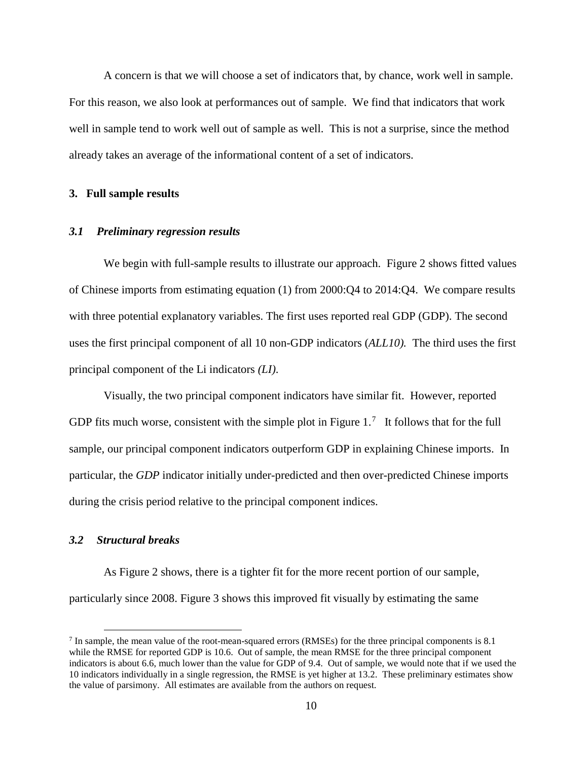A concern is that we will choose a set of indicators that, by chance, work well in sample. For this reason, we also look at performances out of sample. We find that indicators that work well in sample tend to work well out of sample as well. This is not a surprise, since the method already takes an average of the informational content of a set of indicators.

#### **3. Full sample results**

#### *3.1 Preliminary regression results*

We begin with full-sample results to illustrate our approach. Figure 2 shows fitted values of Chinese imports from estimating equation (1) from 2000:Q4 to 2014:Q4. We compare results with three potential explanatory variables. The first uses reported real GDP (GDP). The second uses the first principal component of all 10 non-GDP indicators (*ALL10).* The third uses the first principal component of the Li indicators *(LI)*.

Visually, the two principal component indicators have similar fit. However, reported GDP fits much worse, consistent with the simple plot in Figure  $1<sup>7</sup>$  $1<sup>7</sup>$  $1<sup>7</sup>$  It follows that for the full sample, our principal component indicators outperform GDP in explaining Chinese imports. In particular, the *GDP* indicator initially under-predicted and then over-predicted Chinese imports during the crisis period relative to the principal component indices.

#### *3.2 Structural breaks*

As Figure 2 shows, there is a tighter fit for the more recent portion of our sample, particularly since 2008. Figure 3 shows this improved fit visually by estimating the same

<span id="page-11-0"></span> $^7$  In sample, the mean value of the root-mean-squared errors (RMSEs) for the three principal components is 8.1 while the RMSE for reported GDP is 10.6. Out of sample, the mean RMSE for the three principal component indicators is about 6.6, much lower than the value for GDP of 9.4. Out of sample, we would note that if we used the 10 indicators individually in a single regression, the RMSE is yet higher at 13.2. These preliminary estimates show the value of parsimony. All estimates are available from the authors on request.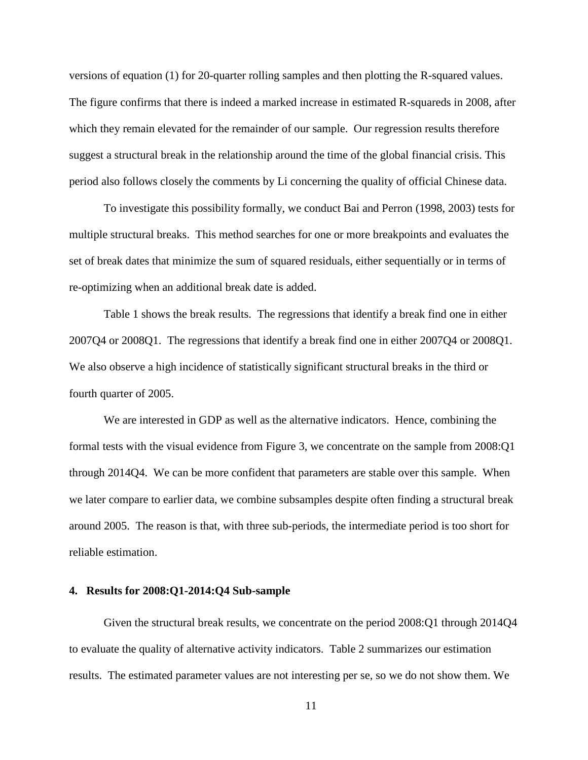versions of equation (1) for 20-quarter rolling samples and then plotting the R-squared values. The figure confirms that there is indeed a marked increase in estimated R-squareds in 2008, after which they remain elevated for the remainder of our sample. Our regression results therefore suggest a structural break in the relationship around the time of the global financial crisis. This period also follows closely the comments by Li concerning the quality of official Chinese data.

To investigate this possibility formally, we conduct Bai and Perron (1998, 2003) tests for multiple structural breaks. This method searches for one or more breakpoints and evaluates the set of break dates that minimize the sum of squared residuals, either sequentially or in terms of re-optimizing when an additional break date is added.

<span id="page-12-0"></span>Table 1 shows the break results. [The regressions that identify a break find one in either](#page-12-0)  [2007Q4 or 2008Q1. T](#page-12-0)he regressions that identify a break find one in either 2007Q4 or 2008Q1. We also observe a high incidence of statistically significant structural breaks in the third or fourth quarter of 2005.

We are interested in GDP as well as the alternative indicators. Hence, combining the formal tests with the visual evidence from Figure 3, we concentrate on the sample from 2008:Q1 through 2014Q4. We can be more confident that parameters are stable over this sample. When we later compare to earlier data, we combine subsamples despite often finding a structural break around 2005. The reason is that, with three sub-periods, the intermediate period is too short for reliable estimation.

#### **4. Results for 2008:Q1-2014:Q4 Sub-sample**

Given the structural break results, we concentrate on the period 2008:Q1 through 2014Q4 to evaluate the quality of alternative activity indicators. Table 2 summarizes our estimation results. The estimated parameter values are not interesting per se, so we do not show them. We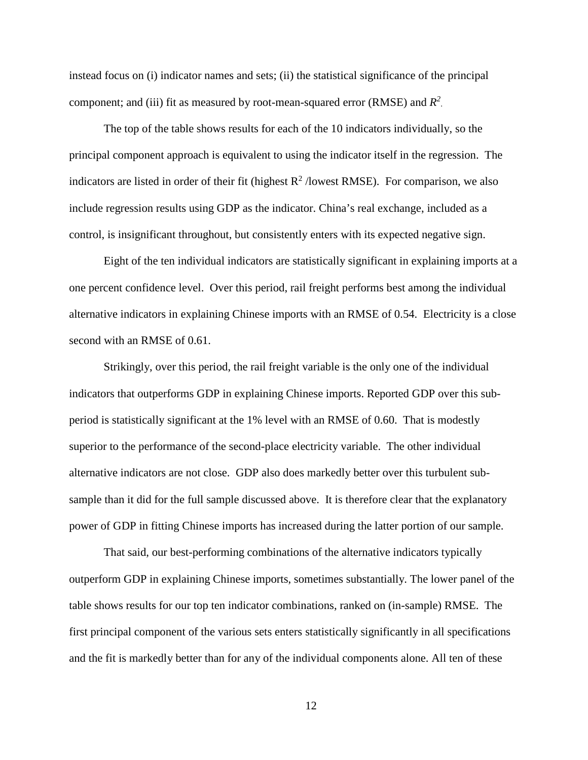instead focus on (i) indicator names and sets; (ii) the statistical significance of the principal component; and (iii) fit as measured by root-mean-squared error (RMSE) and  $R^2$ .

The top of the table shows results for each of the 10 indicators individually, so the principal component approach is equivalent to using the indicator itself in the regression. The indicators are listed in order of their fit (highest  $R^2$  /lowest RMSE). For comparison, we also include regression results using GDP as the indicator. China's real exchange, included as a control, is insignificant throughout, but consistently enters with its expected negative sign.

Eight of the ten individual indicators are statistically significant in explaining imports at a one percent confidence level. Over this period, rail freight performs best among the individual alternative indicators in explaining Chinese imports with an RMSE of 0.54. Electricity is a close second with an RMSE of 0.61.

Strikingly, over this period, the rail freight variable is the only one of the individual indicators that outperforms GDP in explaining Chinese imports. Reported GDP over this subperiod is statistically significant at the 1% level with an RMSE of 0.60. That is modestly superior to the performance of the second-place electricity variable. The other individual alternative indicators are not close. GDP also does markedly better over this turbulent subsample than it did for the full sample discussed above. It is therefore clear that the explanatory power of GDP in fitting Chinese imports has increased during the latter portion of our sample.

That said, our best-performing combinations of the alternative indicators typically outperform GDP in explaining Chinese imports, sometimes substantially. The lower panel of the table shows results for our top ten indicator combinations, ranked on (in-sample) RMSE. The first principal component of the various sets enters statistically significantly in all specifications and the fit is markedly better than for any of the individual components alone. All ten of these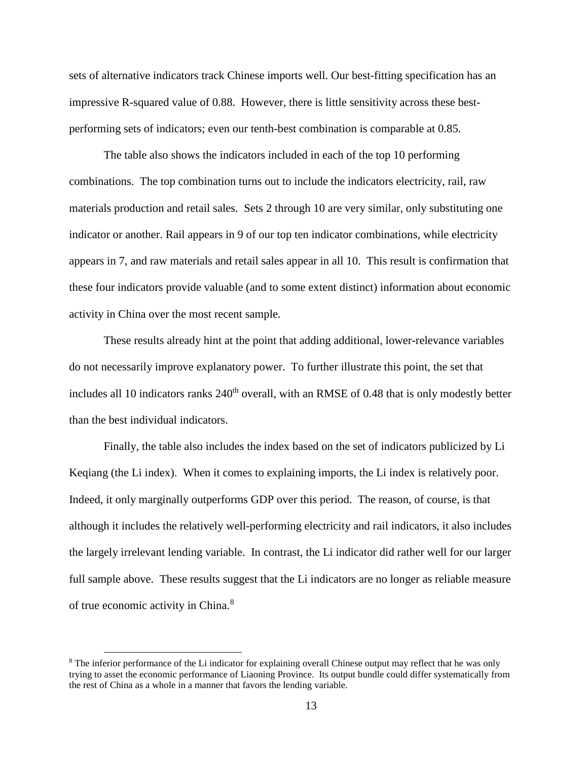sets of alternative indicators track Chinese imports well. Our best-fitting specification has an impressive R-squared value of 0.88. However, there is little sensitivity across these bestperforming sets of indicators; even our tenth-best combination is comparable at 0.85.

The table also shows the indicators included in each of the top 10 performing combinations. The top combination turns out to include the indicators electricity, rail, raw materials production and retail sales. Sets 2 through 10 are very similar, only substituting one indicator or another. Rail appears in 9 of our top ten indicator combinations, while electricity appears in 7, and raw materials and retail sales appear in all 10. This result is confirmation that these four indicators provide valuable (and to some extent distinct) information about economic activity in China over the most recent sample.

These results already hint at the point that adding additional, lower-relevance variables do not necessarily improve explanatory power. To further illustrate this point, the set that includes all 10 indicators ranks 240<sup>th</sup> overall, with an RMSE of 0.48 that is only modestly better than the best individual indicators.

Finally, the table also includes the index based on the set of indicators publicized by Li Keqiang (the Li index). When it comes to explaining imports, the Li index is relatively poor. Indeed, it only marginally outperforms GDP over this period. The reason, of course, is that although it includes the relatively well-performing electricity and rail indicators, it also includes the largely irrelevant lending variable. In contrast, the Li indicator did rather well for our larger full sample above. These results suggest that the Li indicators are no longer as reliable measure of true economic activity in China.<sup>[8](#page-14-0)</sup>

<span id="page-14-0"></span><sup>&</sup>lt;sup>8</sup> The inferior performance of the Li indicator for explaining overall Chinese output may reflect that he was only trying to asset the economic performance of Liaoning Province. Its output bundle could differ systematically from the rest of China as a whole in a manner that favors the lending variable.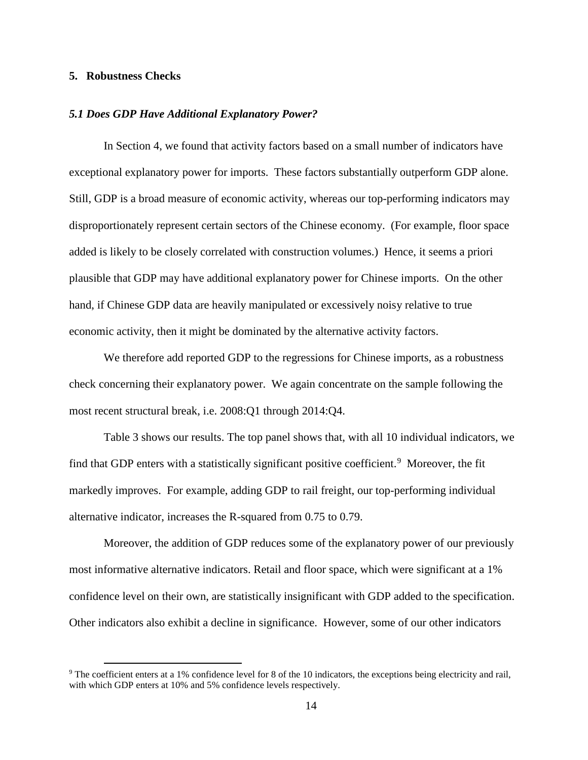#### **5. Robustness Checks**

#### *5.1 Does GDP Have Additional Explanatory Power?*

In Section 4, we found that activity factors based on a small number of indicators have exceptional explanatory power for imports. These factors substantially outperform GDP alone. Still, GDP is a broad measure of economic activity, whereas our top-performing indicators may disproportionately represent certain sectors of the Chinese economy. (For example, floor space added is likely to be closely correlated with construction volumes.) Hence, it seems a priori plausible that GDP may have additional explanatory power for Chinese imports. On the other hand, if Chinese GDP data are heavily manipulated or excessively noisy relative to true economic activity, then it might be dominated by the alternative activity factors.

We therefore add reported GDP to the regressions for Chinese imports, as a robustness check concerning their explanatory power. We again concentrate on the sample following the most recent structural break, i.e. 2008:Q1 through 2014:Q4.

Table 3 shows our results. The top panel shows that, with all 10 individual indicators, we find that GDP enters with a statistically significant positive coefficient.<sup>[9](#page-15-0)</sup> Moreover, the fit markedly improves. For example, adding GDP to rail freight, our top-performing individual alternative indicator, increases the R-squared from 0.75 to 0.79.

Moreover, the addition of GDP reduces some of the explanatory power of our previously most informative alternative indicators. Retail and floor space, which were significant at a 1% confidence level on their own, are statistically insignificant with GDP added to the specification. Other indicators also exhibit a decline in significance. However, some of our other indicators

<span id="page-15-0"></span><sup>&</sup>lt;sup>9</sup> The coefficient enters at a 1% confidence level for 8 of the 10 indicators, the exceptions being electricity and rail, with which GDP enters at 10% and 5% confidence levels respectively.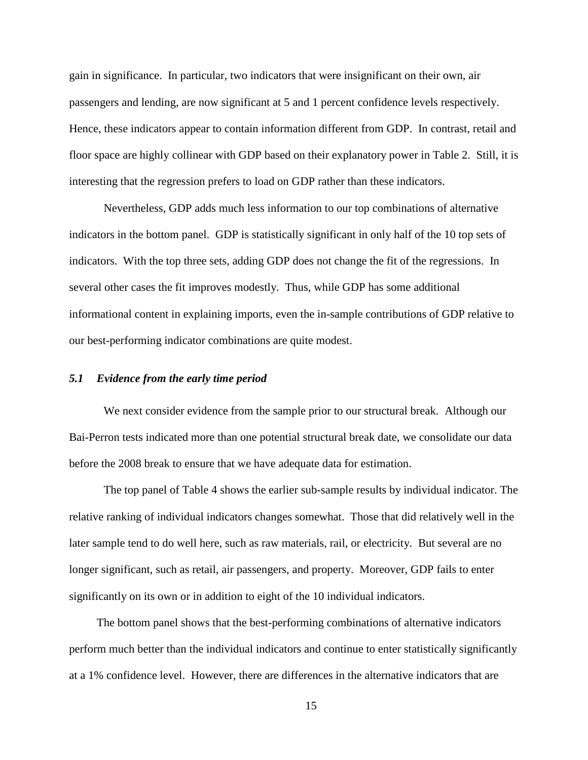gain in significance. In particular, two indicators that were insignificant on their own, air passengers and lending, are now significant at 5 and 1 percent confidence levels respectively. Hence, these indicators appear to contain information different from GDP. In contrast, retail and floor space are highly collinear with GDP based on their explanatory power in Table 2. Still, it is interesting that the regression prefers to load on GDP rather than these indicators.

Nevertheless, GDP adds much less information to our top combinations of alternative indicators in the bottom panel. GDP is statistically significant in only half of the 10 top sets of indicators. With the top three sets, adding GDP does not change the fit of the regressions. In several other cases the fit improves modestly. Thus, while GDP has some additional informational content in explaining imports, even the in-sample contributions of GDP relative to our best-performing indicator combinations are quite modest.

#### *5.1 Evidence from the early time period*

We next consider evidence from the sample prior to our structural break. Although our Bai-Perron tests indicated more than one potential structural break date, we consolidate our data before the 2008 break to ensure that we have adequate data for estimation.

The top panel of Table 4 shows the earlier sub-sample results by individual indicator. The relative ranking of individual indicators changes somewhat. Those that did relatively well in the later sample tend to do well here, such as raw materials, rail, or electricity. But several are no longer significant, such as retail, air passengers, and property. Moreover, GDP fails to enter significantly on its own or in addition to eight of the 10 individual indicators.

The bottom panel shows that the best-performing combinations of alternative indicators perform much better than the individual indicators and continue to enter statistically significantly at a 1% confidence level. However, there are differences in the alternative indicators that are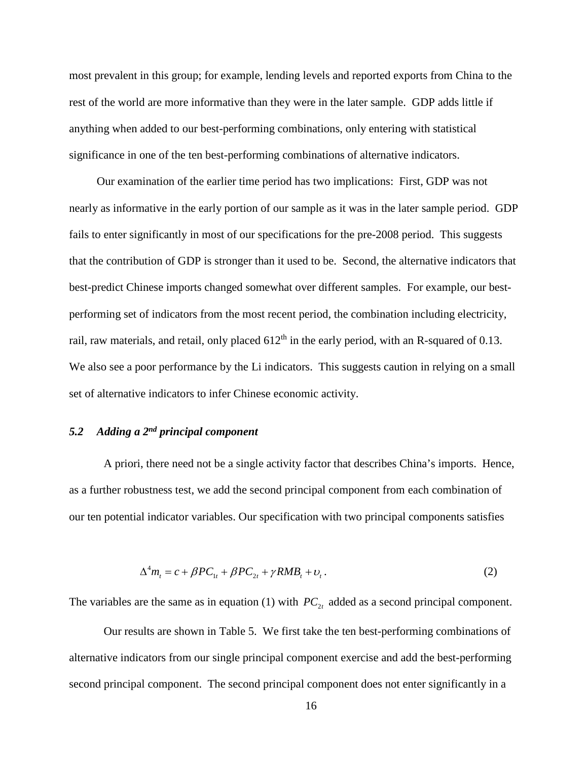most prevalent in this group; for example, lending levels and reported exports from China to the rest of the world are more informative than they were in the later sample. GDP adds little if anything when added to our best-performing combinations, only entering with statistical significance in one of the ten best-performing combinations of alternative indicators.

Our examination of the earlier time period has two implications: First, GDP was not nearly as informative in the early portion of our sample as it was in the later sample period. GDP fails to enter significantly in most of our specifications for the pre-2008 period. This suggests that the contribution of GDP is stronger than it used to be. Second, the alternative indicators that best-predict Chinese imports changed somewhat over different samples. For example, our bestperforming set of indicators from the most recent period, the combination including electricity, rail, raw materials, and retail, only placed  $612<sup>th</sup>$  in the early period, with an R-squared of 0.13. We also see a poor performance by the Li indicators. This suggests caution in relying on a small set of alternative indicators to infer Chinese economic activity.

# *5.2 Adding a 2nd principal component*

A priori, there need not be a single activity factor that describes China's imports. Hence, as a further robustness test, we add the second principal component from each combination of our ten potential indicator variables. Our specification with two principal components satisfies

$$
\Delta^4 m_t = c + \beta P C_{1t} + \beta P C_{2t} + \gamma R M B_t + v_t. \tag{2}
$$

The variables are the same as in equation (1) with  $PC_{2t}$  added as a second principal component.

Our results are shown in Table 5. We first take the ten best-performing combinations of alternative indicators from our single principal component exercise and add the best-performing second principal component. The second principal component does not enter significantly in a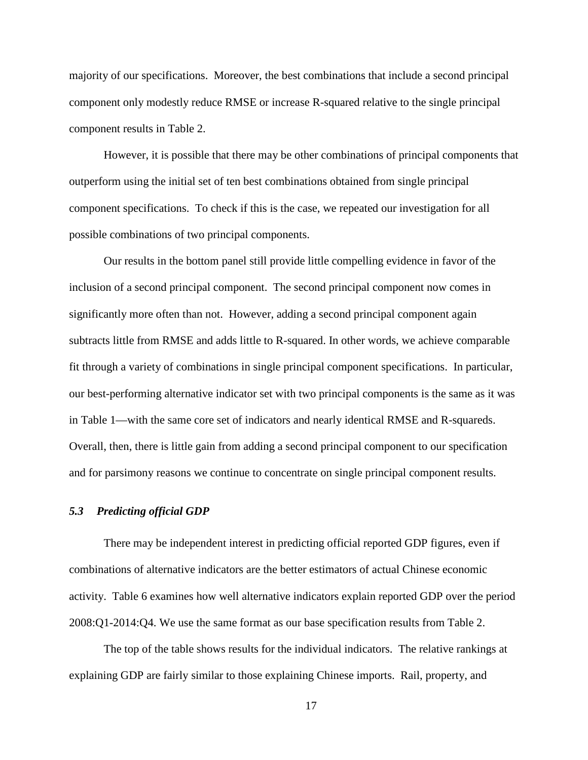majority of our specifications. Moreover, the best combinations that include a second principal component only modestly reduce RMSE or increase R-squared relative to the single principal component results in Table 2.

However, it is possible that there may be other combinations of principal components that outperform using the initial set of ten best combinations obtained from single principal component specifications. To check if this is the case, we repeated our investigation for all possible combinations of two principal components.

Our results in the bottom panel still provide little compelling evidence in favor of the inclusion of a second principal component. The second principal component now comes in significantly more often than not. However, adding a second principal component again subtracts little from RMSE and adds little to R-squared. In other words, we achieve comparable fit through a variety of combinations in single principal component specifications. In particular, our best-performing alternative indicator set with two principal components is the same as it was in Table 1—with the same core set of indicators and nearly identical RMSE and R-squareds. Overall, then, there is little gain from adding a second principal component to our specification and for parsimony reasons we continue to concentrate on single principal component results.

#### *5.3 Predicting official GDP*

There may be independent interest in predicting official reported GDP figures, even if combinations of alternative indicators are the better estimators of actual Chinese economic activity. Table 6 examines how well alternative indicators explain reported GDP over the period 2008:Q1-2014:Q4. We use the same format as our base specification results from Table 2.

The top of the table shows results for the individual indicators. The relative rankings at explaining GDP are fairly similar to those explaining Chinese imports. Rail, property, and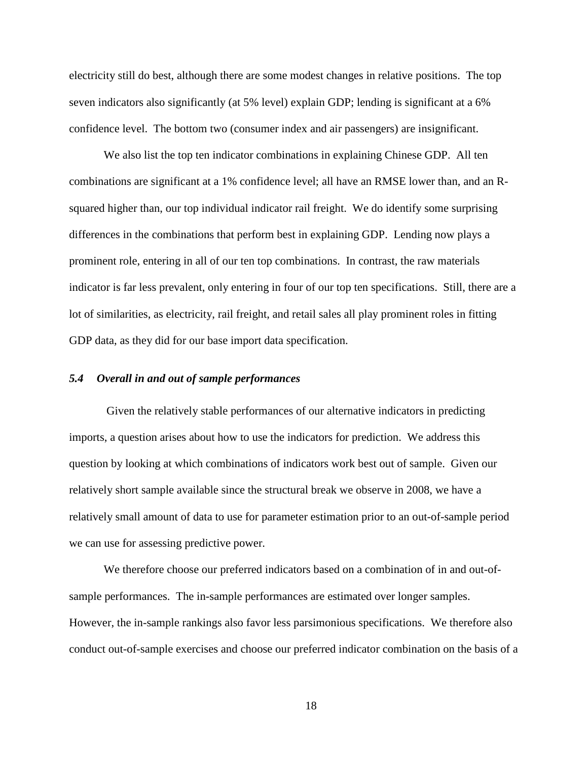electricity still do best, although there are some modest changes in relative positions. The top seven indicators also significantly (at 5% level) explain GDP; lending is significant at a 6% confidence level. The bottom two (consumer index and air passengers) are insignificant.

We also list the top ten indicator combinations in explaining Chinese GDP. All ten combinations are significant at a 1% confidence level; all have an RMSE lower than, and an Rsquared higher than, our top individual indicator rail freight. We do identify some surprising differences in the combinations that perform best in explaining GDP. Lending now plays a prominent role, entering in all of our ten top combinations. In contrast, the raw materials indicator is far less prevalent, only entering in four of our top ten specifications. Still, there are a lot of similarities, as electricity, rail freight, and retail sales all play prominent roles in fitting GDP data, as they did for our base import data specification.

#### *5.4 Overall in and out of sample performances*

Given the relatively stable performances of our alternative indicators in predicting imports, a question arises about how to use the indicators for prediction. We address this question by looking at which combinations of indicators work best out of sample. Given our relatively short sample available since the structural break we observe in 2008, we have a relatively small amount of data to use for parameter estimation prior to an out-of-sample period we can use for assessing predictive power.

We therefore choose our preferred indicators based on a combination of in and out-ofsample performances. The in-sample performances are estimated over longer samples. However, the in-sample rankings also favor less parsimonious specifications. We therefore also conduct out-of-sample exercises and choose our preferred indicator combination on the basis of a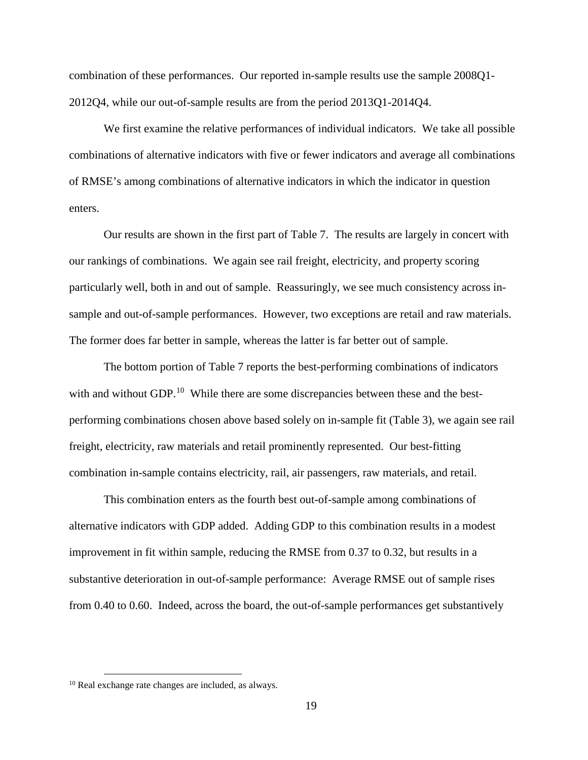combination of these performances. Our reported in-sample results use the sample 2008Q1- 2012Q4, while our out-of-sample results are from the period 2013Q1-2014Q4.

We first examine the relative performances of individual indicators. We take all possible combinations of alternative indicators with five or fewer indicators and average all combinations of RMSE's among combinations of alternative indicators in which the indicator in question enters.

Our results are shown in the first part of Table 7. The results are largely in concert with our rankings of combinations. We again see rail freight, electricity, and property scoring particularly well, both in and out of sample. Reassuringly, we see much consistency across insample and out-of-sample performances. However, two exceptions are retail and raw materials. The former does far better in sample, whereas the latter is far better out of sample.

The bottom portion of Table 7 reports the best-performing combinations of indicators with and without GDP.<sup>[10](#page-20-0)</sup> While there are some discrepancies between these and the bestperforming combinations chosen above based solely on in-sample fit (Table 3), we again see rail freight, electricity, raw materials and retail prominently represented. Our best-fitting combination in-sample contains electricity, rail, air passengers, raw materials, and retail.

This combination enters as the fourth best out-of-sample among combinations of alternative indicators with GDP added. Adding GDP to this combination results in a modest improvement in fit within sample, reducing the RMSE from 0.37 to 0.32, but results in a substantive deterioration in out-of-sample performance: Average RMSE out of sample rises from 0.40 to 0.60. Indeed, across the board, the out-of-sample performances get substantively

<span id="page-20-0"></span> <sup>10</sup> Real exchange rate changes are included, as always.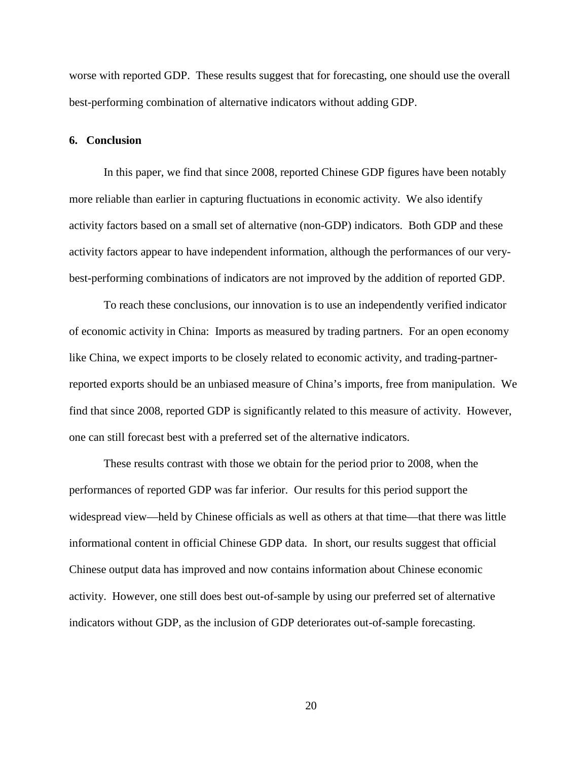worse with reported GDP. These results suggest that for forecasting, one should use the overall best-performing combination of alternative indicators without adding GDP.

#### **6. Conclusion**

In this paper, we find that since 2008, reported Chinese GDP figures have been notably more reliable than earlier in capturing fluctuations in economic activity. We also identify activity factors based on a small set of alternative (non-GDP) indicators. Both GDP and these activity factors appear to have independent information, although the performances of our verybest-performing combinations of indicators are not improved by the addition of reported GDP.

To reach these conclusions, our innovation is to use an independently verified indicator of economic activity in China: Imports as measured by trading partners. For an open economy like China, we expect imports to be closely related to economic activity, and trading-partnerreported exports should be an unbiased measure of China's imports, free from manipulation. We find that since 2008, reported GDP is significantly related to this measure of activity. However, one can still forecast best with a preferred set of the alternative indicators.

These results contrast with those we obtain for the period prior to 2008, when the performances of reported GDP was far inferior. Our results for this period support the widespread view—held by Chinese officials as well as others at that time—that there was little informational content in official Chinese GDP data. In short, our results suggest that official Chinese output data has improved and now contains information about Chinese economic activity. However, one still does best out-of-sample by using our preferred set of alternative indicators without GDP, as the inclusion of GDP deteriorates out-of-sample forecasting.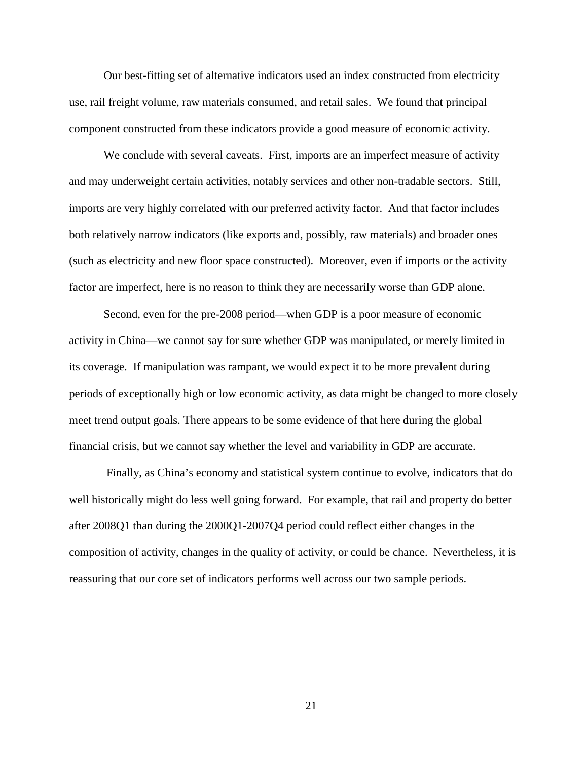Our best-fitting set of alternative indicators used an index constructed from electricity use, rail freight volume, raw materials consumed, and retail sales. We found that principal component constructed from these indicators provide a good measure of economic activity.

We conclude with several caveats. First, imports are an imperfect measure of activity and may underweight certain activities, notably services and other non-tradable sectors. Still, imports are very highly correlated with our preferred activity factor. And that factor includes both relatively narrow indicators (like exports and, possibly, raw materials) and broader ones (such as electricity and new floor space constructed). Moreover, even if imports or the activity factor are imperfect, here is no reason to think they are necessarily worse than GDP alone.

Second, even for the pre-2008 period—when GDP is a poor measure of economic activity in China—we cannot say for sure whether GDP was manipulated, or merely limited in its coverage. If manipulation was rampant, we would expect it to be more prevalent during periods of exceptionally high or low economic activity, as data might be changed to more closely meet trend output goals. There appears to be some evidence of that here during the global financial crisis, but we cannot say whether the level and variability in GDP are accurate.

Finally, as China's economy and statistical system continue to evolve, indicators that do well historically might do less well going forward. For example, that rail and property do better after 2008Q1 than during the 2000Q1-2007Q4 period could reflect either changes in the composition of activity, changes in the quality of activity, or could be chance. Nevertheless, it is reassuring that our core set of indicators performs well across our two sample periods.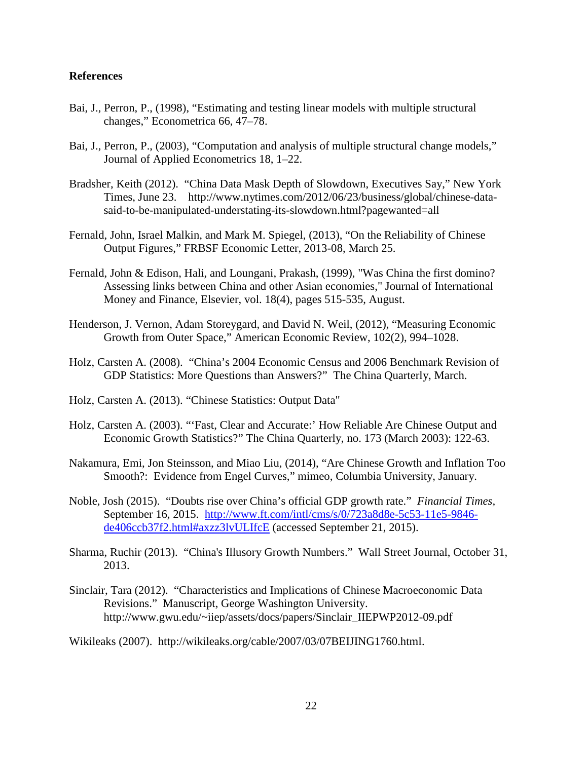### **References**

- Bai, J., Perron, P., (1998), "Estimating and testing linear models with multiple structural changes," Econometrica 66, 47–78.
- Bai, J., Perron, P., (2003), "Computation and analysis of multiple structural change models," Journal of Applied Econometrics 18, 1–22.
- Bradsher, Keith (2012). "China Data Mask Depth of Slowdown, Executives Say," New York Times, June 23. [http://www.nytimes.com/2012/06/23/business/global/chinese-data](http://www.nytimes.com/2012/06/23/business/global/chinese-data-said-to-be-manipulated-understating-its-slowdown.html?pagewanted=all)[said-to-be-manipulated-understating-its-slowdown.html?pagewanted=all](http://www.nytimes.com/2012/06/23/business/global/chinese-data-said-to-be-manipulated-understating-its-slowdown.html?pagewanted=all)
- Fernald, John, Israel Malkin, and Mark M. Spiegel, (2013), "On the Reliability of Chinese Output Figures," FRBSF Economic Letter, 2013-08, March 25.
- Fernald, John & Edison, Hali, and Loungani, Prakash, (1999), "Was China the first domino? Assessing links between China and other Asian economies," Journal of International Money and Finance, Elsevier, vol. 18(4), pages 515-535, August.
- Henderson, J. Vernon, Adam Storeygard, and David N. Weil, (2012), "Measuring Economic Growth from Outer Space," American Economic Review, 102(2), 994–1028.
- Holz, Carsten A. (2008). "China's 2004 Economic Census and 2006 Benchmark Revision of GDP Statistics: More Questions than Answers?" The China Quarterly, March.
- Holz, Carsten A. (2013). "Chinese Statistics: Output Data"
- Holz, Carsten A. (2003). "'Fast, Clear and Accurate:' How Reliable Are Chinese Output and Economic Growth Statistics?" The China Quarterly, no. 173 (March 2003): 122-63.
- Nakamura, Emi, Jon Steinsson, and Miao Liu, (2014), "Are Chinese Growth and Inflation Too Smooth?: Evidence from Engel Curves," mimeo, Columbia University, January.
- Noble, Josh (2015). "Doubts rise over China's official GDP growth rate." *Financial Times,*  September 16, 2015. [http://www.ft.com/intl/cms/s/0/723a8d8e-5c53-11e5-9846](http://www.ft.com/intl/cms/s/0/723a8d8e-5c53-11e5-9846-de406ccb37f2.html%23axzz3lvULIfcE) [de406ccb37f2.html#axzz3lvULIfcE](http://www.ft.com/intl/cms/s/0/723a8d8e-5c53-11e5-9846-de406ccb37f2.html%23axzz3lvULIfcE) (accessed September 21, 2015).
- Sharma, Ruchir (2013). "China's Illusory Growth Numbers." Wall Street Journal, October 31, 2013.
- Sinclair, Tara (2012). "Characteristics and Implications of Chinese Macroeconomic Data Revisions." Manuscript, George Washington University. http://www.gwu.edu/~iiep/assets/docs/papers/Sinclair\_IIEPWP2012-09.pdf

Wikileaks (2007). http://wikileaks.org/cable/2007/03/07BEIJING1760.html.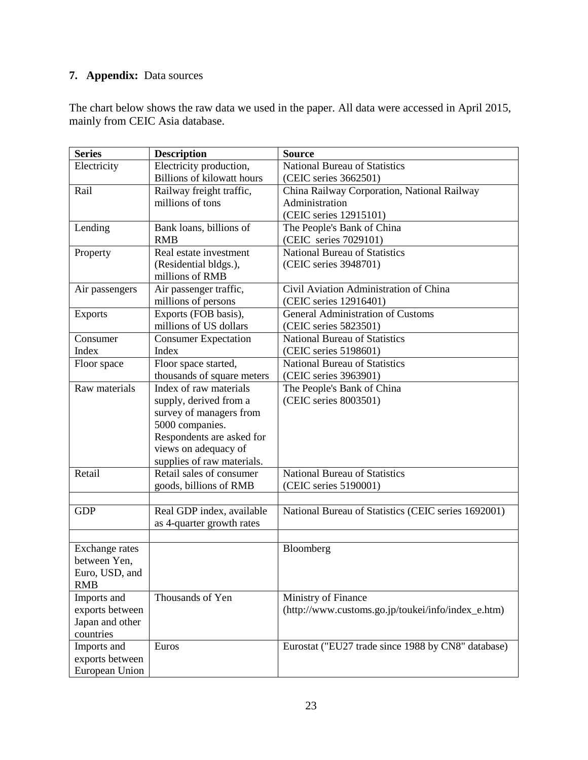# **7. Appendix:** Data sources

The chart below shows the raw data we used in the paper. All data were accessed in April 2015, mainly from CEIC Asia database.

| <b>Series</b>   | <b>Description</b>                | <b>Source</b>                                       |
|-----------------|-----------------------------------|-----------------------------------------------------|
| Electricity     | Electricity production,           | <b>National Bureau of Statistics</b>                |
|                 | <b>Billions of kilowatt hours</b> | (CEIC series 3662501)                               |
| Rail            | Railway freight traffic,          | China Railway Corporation, National Railway         |
|                 | millions of tons                  | Administration                                      |
|                 |                                   | (CEIC series 12915101)                              |
| Lending         | Bank loans, billions of           | The People's Bank of China                          |
|                 | <b>RMB</b>                        | (CEIC series 7029101)                               |
| Property        | Real estate investment            | National Bureau of Statistics                       |
|                 | (Residential bldgs.),             | (CEIC series 3948701)                               |
|                 | millions of RMB                   |                                                     |
| Air passengers  | Air passenger traffic,            | Civil Aviation Administration of China              |
|                 | millions of persons               | (CEIC series 12916401)                              |
| <b>Exports</b>  | Exports (FOB basis),              | General Administration of Customs                   |
|                 | millions of US dollars            | (CEIC series 5823501)                               |
| Consumer        | <b>Consumer Expectation</b>       | <b>National Bureau of Statistics</b>                |
| Index           | Index                             | (CEIC series 5198601)                               |
| Floor space     | Floor space started,              | <b>National Bureau of Statistics</b>                |
|                 | thousands of square meters        | (CEIC series 3963901)                               |
| Raw materials   | Index of raw materials            | The People's Bank of China                          |
|                 | supply, derived from a            | (CEIC series 8003501)                               |
|                 | survey of managers from           |                                                     |
|                 | 5000 companies.                   |                                                     |
|                 | Respondents are asked for         |                                                     |
|                 | views on adequacy of              |                                                     |
|                 | supplies of raw materials.        |                                                     |
| Retail          | Retail sales of consumer          | <b>National Bureau of Statistics</b>                |
|                 | goods, billions of RMB            | (CEIC series 5190001)                               |
|                 |                                   |                                                     |
| <b>GDP</b>      | Real GDP index, available         | National Bureau of Statistics (CEIC series 1692001) |
|                 | as 4-quarter growth rates         |                                                     |
|                 |                                   |                                                     |
| Exchange rates  |                                   | Bloomberg                                           |
| between Yen,    |                                   |                                                     |
| Euro, USD, and  |                                   |                                                     |
| <b>RMB</b>      |                                   |                                                     |
| Imports and     | Thousands of Yen                  | Ministry of Finance                                 |
| exports between |                                   | (http://www.customs.go.jp/toukei/info/index_e.htm)  |
| Japan and other |                                   |                                                     |
| countries       |                                   |                                                     |
| Imports and     | Euros                             | Eurostat ("EU27 trade since 1988 by CN8" database)  |
| exports between |                                   |                                                     |
| European Union  |                                   |                                                     |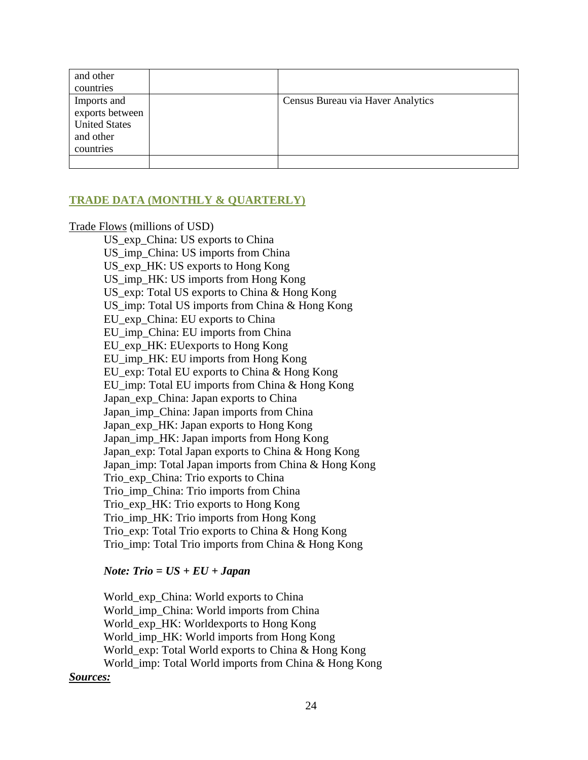| and other            |                                   |
|----------------------|-----------------------------------|
| countries            |                                   |
| Imports and          | Census Bureau via Haver Analytics |
| exports between      |                                   |
| <b>United States</b> |                                   |
| and other            |                                   |
| countries            |                                   |
|                      |                                   |

# **TRADE DATA (MONTHLY & QUARTERLY)**

Trade Flows (millions of USD)

US exp China: US exports to China US\_imp\_China: US imports from China US exp HK: US exports to Hong Kong US\_imp\_HK: US imports from Hong Kong US\_exp: Total US exports to China & Hong Kong US\_imp: Total US imports from China & Hong Kong EU\_exp\_China: EU exports to China EU\_imp\_China: EU imports from China EU\_exp\_HK: EUexports to Hong Kong EU\_imp\_HK: EU imports from Hong Kong EU\_exp: Total EU exports to China & Hong Kong EU\_imp: Total EU imports from China & Hong Kong Japan exp China: Japan exports to China Japan\_imp\_China: Japan imports from China Japan\_exp\_HK: Japan exports to Hong Kong Japan imp HK: Japan imports from Hong Kong Japan\_exp: Total Japan exports to China & Hong Kong Japan imp: Total Japan imports from China & Hong Kong Trio\_exp\_China: Trio exports to China Trio\_imp\_China: Trio imports from China Trio\_exp\_HK: Trio exports to Hong Kong Trio\_imp\_HK: Trio imports from Hong Kong Trio exp: Total Trio exports to China & Hong Kong Trio imp: Total Trio imports from China & Hong Kong

#### *Note: Trio = US + EU + Japan*

World\_exp\_China: World exports to China World\_imp\_China: World imports from China World\_exp\_HK: Worldexports to Hong Kong World\_imp\_HK: World imports from Hong Kong World exp: Total World exports to China & Hong Kong World imp: Total World imports from China & Hong Kong

#### *Sources:*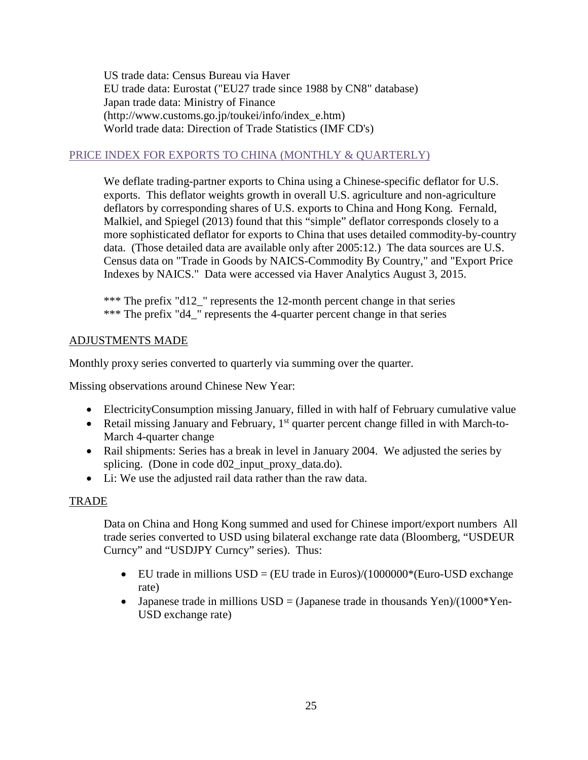US trade data: Census Bureau via Haver EU trade data: Eurostat ("EU27 trade since 1988 by CN8" database) Japan trade data: Ministry of Finance (http://www.customs.go.jp/toukei/info/index\_e.htm) World trade data: Direction of Trade Statistics (IMF CD's)

# PRICE INDEX FOR EXPORTS TO CHINA (MONTHLY & QUARTERLY)

We deflate trading-partner exports to China using a Chinese-specific deflator for U.S. exports. This deflator weights growth in overall U.S. agriculture and non-agriculture deflators by corresponding shares of U.S. exports to China and Hong Kong. Fernald, Malkiel, and Spiegel (2013) found that this "simple" deflator corresponds closely to a more sophisticated deflator for exports to China that uses detailed commodity-by-country data. (Those detailed data are available only after 2005:12.) The data sources are U.S. Census data on "Trade in Goods by NAICS-Commodity By Country," and "Export Price Indexes by NAICS." Data were accessed via Haver Analytics August 3, 2015.

\*\*\* The prefix "d12\_" represents the 12-month percent change in that series \*\*\* The prefix "d4\_" represents the 4-quarter percent change in that series

# ADJUSTMENTS MADE

Monthly proxy series converted to quarterly via summing over the quarter.

Missing observations around Chinese New Year:

- ElectricityConsumption missing January, filled in with half of February cumulative value
- Retail missing January and February,  $1<sup>st</sup>$  quarter percent change filled in with March-to-March 4-quarter change
- Rail shipments: Series has a break in level in January 2004. We adjusted the series by splicing. (Done in code d02\_input\_proxy\_data.do).
- Li: We use the adjusted rail data rather than the raw data.

# TRADE

Data on China and Hong Kong summed and used for Chinese import/export numbers All trade series converted to USD using bilateral exchange rate data (Bloomberg, "USDEUR Curncy" and "USDJPY Curncy" series). Thus:

- EU trade in millions  $USD = (EU \tq trade \t{in Euros})/(1000000*(Euro-USD \text{exchange})$ rate)
- Japanese trade in millions  $USD = (Japanese trade in thousands Yen)/(1000*Yen-$ USD exchange rate)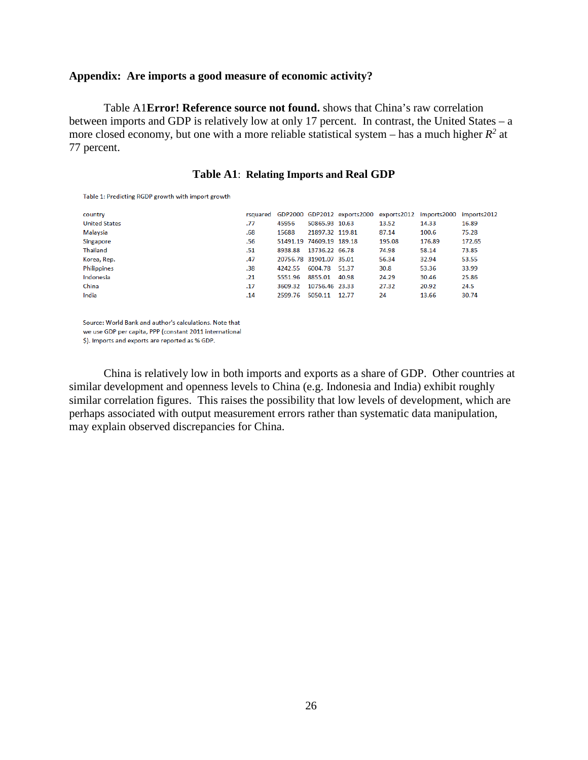#### **Appendix: Are imports a good measure of economic activity?**

Table A1**Error! Reference source not found.** shows that China's raw correlation between imports and GDP is relatively low at only 17 percent. In contrast, the United States – a more closed economy, but one with a more reliable statistical system – has a much higher  $R^2$  at 77 percent.

#### **Table A1**: **Relating Imports and Real GDP**

Table 1: Predicting RGDP growth with import growth

| country              |     |         |                          |       |        | rsquared GDP2000 GDP2012 exports2000 exports2012 imports2000 imports2012 |        |
|----------------------|-----|---------|--------------------------|-------|--------|--------------------------------------------------------------------------|--------|
| <b>United States</b> | .77 | 45956   | 50865.93 10.63           |       | 13.52  | 14.33                                                                    | 16.89  |
| Malaysia             | .68 | 15688   | 21897.32 119.81          |       | 87.14  | 100.6                                                                    | 75.28  |
| Singapore            | .56 |         | 51491.19 74609.19 189.18 |       | 195.08 | 176.89                                                                   | 172.65 |
| Thailand             | .51 | 8938.88 | 13736.22 66.78           |       | 74.98  | 58.14                                                                    | 73.85  |
| Korea, Rep.          | .47 |         | 20756.78 31901.07 35.01  |       | 56.34  | 32.94                                                                    | 53.55  |
| Philippines          | .38 | 4242.55 | 6004.78 51.37            |       | 30.8   | 53.36                                                                    | 33.99  |
| Indonesia            | .21 | 5551.96 | 8855.01                  | 40.98 | 24.29  | 30.46                                                                    | 25.86  |
| China                | .17 | 3609.32 | 10756.46 23.33           |       | 27.32  | 20.92                                                                    | 24.5   |
| India                | .14 | 2599.76 | 5050.11                  | 12.77 | 24     | 13.66                                                                    | 30.74  |
|                      |     |         |                          |       |        |                                                                          |        |

Source: World Bank and author's calculations. Note that

we use GDP per capita, PPP (constant 2011 international

\$). Imports and exports are reported as % GDP.

China is relatively low in both imports and exports as a share of GDP. Other countries at similar development and openness levels to China (e.g. Indonesia and India) exhibit roughly similar correlation figures. This raises the possibility that low levels of development, which are perhaps associated with output measurement errors rather than systematic data manipulation, may explain observed discrepancies for China.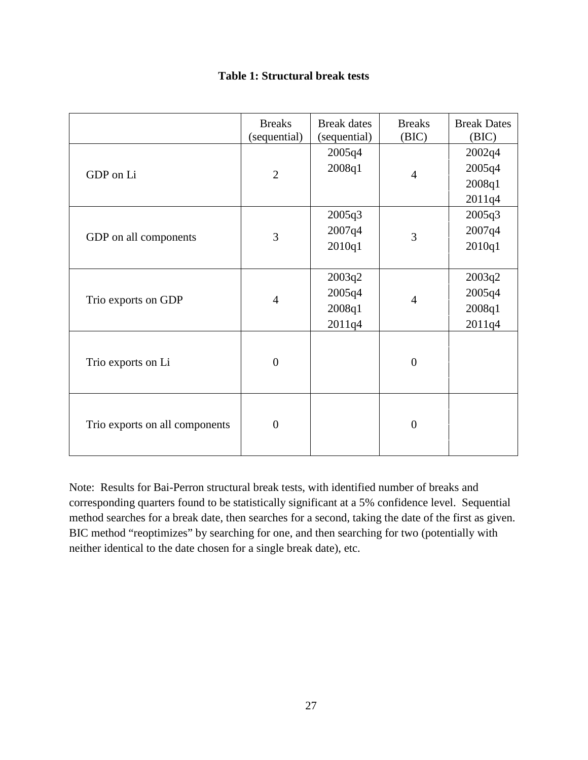|  | <b>Table 1: Structural break tests</b> |  |  |
|--|----------------------------------------|--|--|
|--|----------------------------------------|--|--|

|                                | <b>Breaks</b><br>(sequential) | <b>Break</b> dates<br>(sequential)   | <b>Breaks</b><br>(BIC) | <b>Break Dates</b><br>(BIC)          |
|--------------------------------|-------------------------------|--------------------------------------|------------------------|--------------------------------------|
| GDP on Li                      | $\overline{2}$                | 2005q4<br>2008q1                     | $\overline{4}$         | 2002q4<br>2005q4<br>2008q1<br>2011q4 |
| GDP on all components          | 3                             | 2005q3<br>2007q4<br>2010q1           | 3                      | 2005q3<br>2007q4<br>2010q1           |
| Trio exports on GDP            | $\overline{4}$                | 2003q2<br>2005q4<br>2008q1<br>2011q4 | $\overline{4}$         | 2003q2<br>2005q4<br>2008q1<br>2011q4 |
| Trio exports on Li             | $\overline{0}$                |                                      | $\overline{0}$         |                                      |
| Trio exports on all components | $\overline{0}$                |                                      | $\overline{0}$         |                                      |

Note: Results for Bai-Perron structural break tests, with identified number of breaks and corresponding quarters found to be statistically significant at a 5% confidence level. Sequential method searches for a break date, then searches for a second, taking the date of the first as given. BIC method "reoptimizes" by searching for one, and then searching for two (potentially with neither identical to the date chosen for a single break date), etc.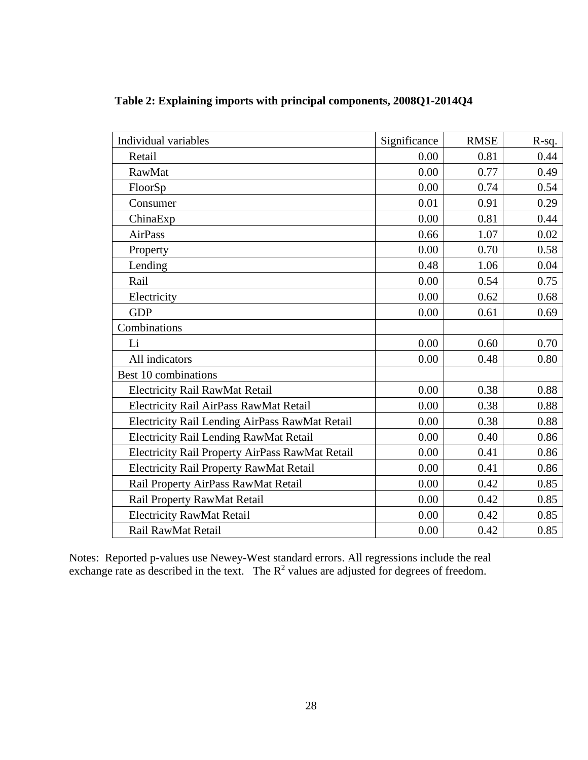| Individual variables                            | Significance | <b>RMSE</b> | R-sq. |
|-------------------------------------------------|--------------|-------------|-------|
| Retail                                          | 0.00         | 0.81        | 0.44  |
| <b>RawMat</b>                                   | 0.00         | 0.77        | 0.49  |
| FloorSp                                         | 0.00         | 0.74        | 0.54  |
| Consumer                                        | 0.01         | 0.91        | 0.29  |
| ChinaExp                                        | 0.00         | 0.81        | 0.44  |
| <b>AirPass</b>                                  | 0.66         | 1.07        | 0.02  |
| Property                                        | 0.00         | 0.70        | 0.58  |
| Lending                                         | 0.48         | 1.06        | 0.04  |
| Rail                                            | 0.00         | 0.54        | 0.75  |
| Electricity                                     | 0.00         | 0.62        | 0.68  |
| <b>GDP</b>                                      | 0.00         | 0.61        | 0.69  |
| Combinations                                    |              |             |       |
| Li                                              | 0.00         | 0.60        | 0.70  |
| All indicators                                  | 0.00         | 0.48        | 0.80  |
| Best 10 combinations                            |              |             |       |
| <b>Electricity Rail RawMat Retail</b>           | 0.00         | 0.38        | 0.88  |
| Electricity Rail AirPass RawMat Retail          | 0.00         | 0.38        | 0.88  |
| Electricity Rail Lending AirPass RawMat Retail  | 0.00         | 0.38        | 0.88  |
| <b>Electricity Rail Lending RawMat Retail</b>   | 0.00         | 0.40        | 0.86  |
| Electricity Rail Property AirPass RawMat Retail | 0.00         | 0.41        | 0.86  |
| <b>Electricity Rail Property RawMat Retail</b>  | 0.00         | 0.41        | 0.86  |
| Rail Property AirPass RawMat Retail             | 0.00         | 0.42        | 0.85  |
| Rail Property RawMat Retail                     | 0.00         | 0.42        | 0.85  |
| <b>Electricity RawMat Retail</b>                | 0.00         | 0.42        | 0.85  |
| Rail RawMat Retail                              | 0.00         | 0.42        | 0.85  |

**Table 2: Explaining imports with principal components, 2008Q1-2014Q4**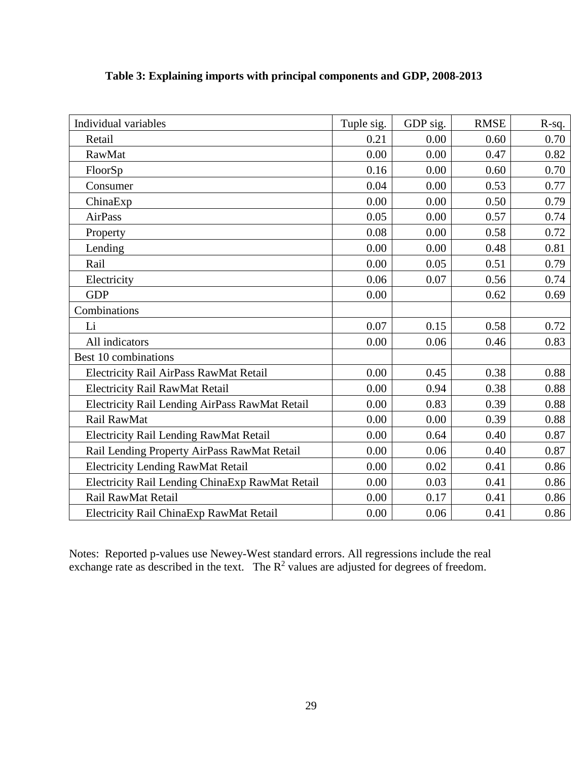| Individual variables                            | Tuple sig. | GDP sig. | <b>RMSE</b> | $R-sq.$ |
|-------------------------------------------------|------------|----------|-------------|---------|
| Retail                                          | 0.21       | 0.00     | 0.60        | 0.70    |
| RawMat                                          | 0.00       | 0.00     | 0.47        | 0.82    |
| FloorSp                                         | 0.16       | 0.00     | 0.60        | 0.70    |
| Consumer                                        | 0.04       | 0.00     | 0.53        | 0.77    |
| ChinaExp                                        | 0.00       | 0.00     | 0.50        | 0.79    |
| AirPass                                         | 0.05       | 0.00     | 0.57        | 0.74    |
| Property                                        | 0.08       | 0.00     | 0.58        | 0.72    |
| Lending                                         | 0.00       | 0.00     | 0.48        | 0.81    |
| Rail                                            | 0.00       | 0.05     | 0.51        | 0.79    |
| Electricity                                     | 0.06       | 0.07     | 0.56        | 0.74    |
| <b>GDP</b>                                      | 0.00       |          | 0.62        | 0.69    |
| Combinations                                    |            |          |             |         |
| Li                                              | 0.07       | 0.15     | 0.58        | 0.72    |
| All indicators                                  | 0.00       | 0.06     | 0.46        | 0.83    |
| Best 10 combinations                            |            |          |             |         |
| Electricity Rail AirPass RawMat Retail          | 0.00       | 0.45     | 0.38        | 0.88    |
| Electricity Rail RawMat Retail                  | 0.00       | 0.94     | 0.38        | 0.88    |
| Electricity Rail Lending AirPass RawMat Retail  | 0.00       | 0.83     | 0.39        | 0.88    |
| Rail RawMat                                     | 0.00       | 0.00     | 0.39        | 0.88    |
| <b>Electricity Rail Lending RawMat Retail</b>   | 0.00       | 0.64     | 0.40        | 0.87    |
| Rail Lending Property AirPass RawMat Retail     | 0.00       | 0.06     | 0.40        | 0.87    |
| <b>Electricity Lending RawMat Retail</b>        | 0.00       | 0.02     | 0.41        | 0.86    |
| Electricity Rail Lending ChinaExp RawMat Retail | 0.00       | 0.03     | 0.41        | 0.86    |
| Rail RawMat Retail                              | 0.00       | 0.17     | 0.41        | 0.86    |
| Electricity Rail ChinaExp RawMat Retail         | 0.00       | 0.06     | 0.41        | 0.86    |

**Table 3: Explaining imports with principal components and GDP, 2008-2013**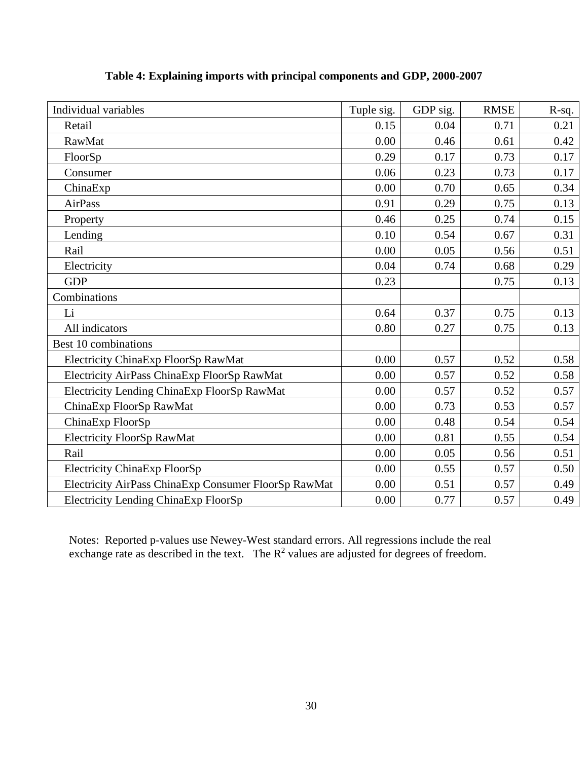| Individual variables                                 | Tuple sig. | GDP sig. | <b>RMSE</b> | $R-sq.$ |
|------------------------------------------------------|------------|----------|-------------|---------|
| Retail                                               | 0.15       | 0.04     | 0.71        | 0.21    |
| RawMat                                               | 0.00       | 0.46     | 0.61        | 0.42    |
| FloorSp                                              | 0.29       | 0.17     | 0.73        | 0.17    |
| Consumer                                             | 0.06       | 0.23     | 0.73        | 0.17    |
| ChinaExp                                             | 0.00       | 0.70     | 0.65        | 0.34    |
| <b>AirPass</b>                                       | 0.91       | 0.29     | 0.75        | 0.13    |
| Property                                             | 0.46       | 0.25     | 0.74        | 0.15    |
| Lending                                              | 0.10       | 0.54     | 0.67        | 0.31    |
| Rail                                                 | 0.00       | 0.05     | 0.56        | 0.51    |
| Electricity                                          | 0.04       | 0.74     | 0.68        | 0.29    |
| <b>GDP</b>                                           | 0.23       |          | 0.75        | 0.13    |
| Combinations                                         |            |          |             |         |
| Li                                                   | 0.64       | 0.37     | 0.75        | 0.13    |
| All indicators                                       | 0.80       | 0.27     | 0.75        | 0.13    |
| Best 10 combinations                                 |            |          |             |         |
| Electricity ChinaExp FloorSp RawMat                  | 0.00       | 0.57     | 0.52        | 0.58    |
| Electricity AirPass ChinaExp FloorSp RawMat          | 0.00       | 0.57     | 0.52        | 0.58    |
| Electricity Lending ChinaExp FloorSp RawMat          | 0.00       | 0.57     | 0.52        | 0.57    |
| ChinaExp FloorSp RawMat                              | 0.00       | 0.73     | 0.53        | 0.57    |
| ChinaExp FloorSp                                     | 0.00       | 0.48     | 0.54        | 0.54    |
| <b>Electricity FloorSp RawMat</b>                    | 0.00       | 0.81     | 0.55        | 0.54    |
| Rail                                                 | 0.00       | 0.05     | 0.56        | 0.51    |
| <b>Electricity ChinaExp FloorSp</b>                  | 0.00       | 0.55     | 0.57        | 0.50    |
| Electricity AirPass ChinaExp Consumer FloorSp RawMat | 0.00       | 0.51     | 0.57        | 0.49    |
| Electricity Lending ChinaExp FloorSp                 | 0.00       | 0.77     | 0.57        | 0.49    |

**Table 4: Explaining imports with principal components and GDP, 2000-2007**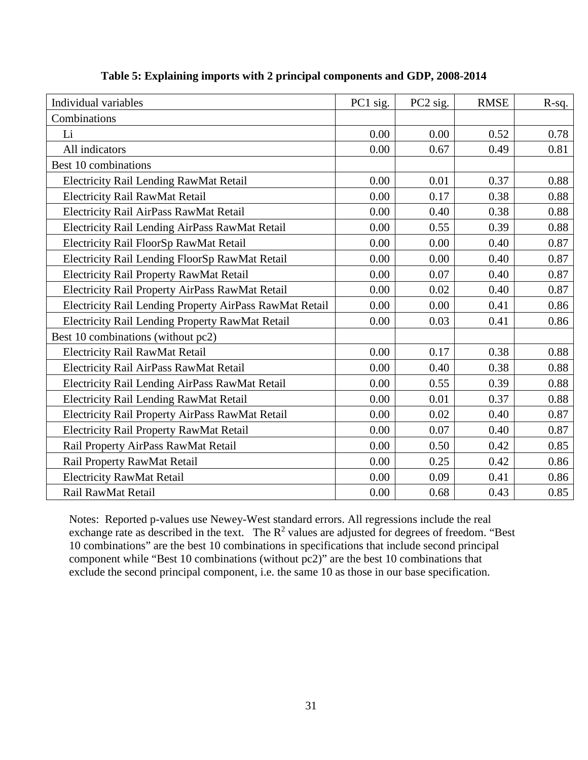| Individual variables                                    | PC1 sig. | PC2 sig. | <b>RMSE</b> | R-sq. |
|---------------------------------------------------------|----------|----------|-------------|-------|
| Combinations                                            |          |          |             |       |
| Li                                                      | 0.00     | 0.00     | 0.52        | 0.78  |
| All indicators                                          | 0.00     | 0.67     | 0.49        | 0.81  |
| Best 10 combinations                                    |          |          |             |       |
| Electricity Rail Lending RawMat Retail                  | 0.00     | 0.01     | 0.37        | 0.88  |
| <b>Electricity Rail RawMat Retail</b>                   | 0.00     | 0.17     | 0.38        | 0.88  |
| Electricity Rail AirPass RawMat Retail                  | 0.00     | 0.40     | 0.38        | 0.88  |
| Electricity Rail Lending AirPass RawMat Retail          | 0.00     | 0.55     | 0.39        | 0.88  |
| Electricity Rail FloorSp RawMat Retail                  | 0.00     | 0.00     | 0.40        | 0.87  |
| Electricity Rail Lending FloorSp RawMat Retail          | 0.00     | 0.00     | 0.40        | 0.87  |
| <b>Electricity Rail Property RawMat Retail</b>          | 0.00     | 0.07     | 0.40        | 0.87  |
| Electricity Rail Property AirPass RawMat Retail         | 0.00     | 0.02     | 0.40        | 0.87  |
| Electricity Rail Lending Property AirPass RawMat Retail | 0.00     | 0.00     | 0.41        | 0.86  |
| Electricity Rail Lending Property RawMat Retail         | 0.00     | 0.03     | 0.41        | 0.86  |
| Best 10 combinations (without pc2)                      |          |          |             |       |
| <b>Electricity Rail RawMat Retail</b>                   | 0.00     | 0.17     | 0.38        | 0.88  |
| Electricity Rail AirPass RawMat Retail                  | 0.00     | 0.40     | 0.38        | 0.88  |
| Electricity Rail Lending AirPass RawMat Retail          | 0.00     | 0.55     | 0.39        | 0.88  |
| Electricity Rail Lending RawMat Retail                  | 0.00     | 0.01     | 0.37        | 0.88  |
| Electricity Rail Property AirPass RawMat Retail         | 0.00     | 0.02     | 0.40        | 0.87  |
| <b>Electricity Rail Property RawMat Retail</b>          | 0.00     | 0.07     | 0.40        | 0.87  |
| Rail Property AirPass RawMat Retail                     | 0.00     | 0.50     | 0.42        | 0.85  |
| Rail Property RawMat Retail                             | 0.00     | 0.25     | 0.42        | 0.86  |
| <b>Electricity RawMat Retail</b>                        | 0.00     | 0.09     | 0.41        | 0.86  |
| Rail RawMat Retail                                      | 0.00     | 0.68     | 0.43        | 0.85  |

**Table 5: Explaining imports with 2 principal components and GDP, 2008-2014**

Notes: Reported p-values use Newey-West standard errors. All regressions include the real exchange rate as described in the text. The  $R^2$  values are adjusted for degrees of freedom. "Best 10 combinations" are the best 10 combinations in specifications that include second principal component while "Best 10 combinations (without pc2)" are the best 10 combinations that exclude the second principal component, i.e. the same 10 as those in our base specification.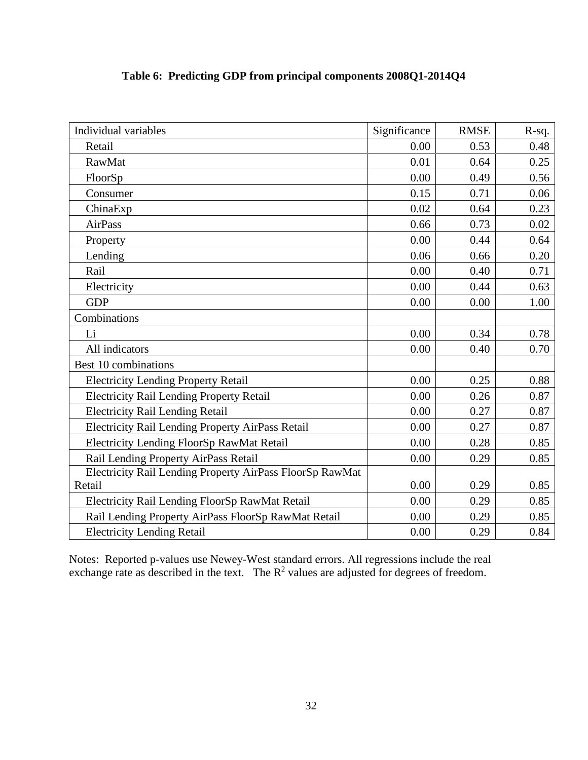| Individual variables                                     | Significance | <b>RMSE</b> | $R-sq.$ |
|----------------------------------------------------------|--------------|-------------|---------|
| Retail                                                   | 0.00         | 0.53        | 0.48    |
| RawMat                                                   | 0.01         | 0.64        | 0.25    |
| FloorSp                                                  | 0.00         | 0.49        | 0.56    |
| Consumer                                                 | 0.15         | 0.71        | 0.06    |
| ChinaExp                                                 | 0.02         | 0.64        | 0.23    |
| AirPass                                                  | 0.66         | 0.73        | 0.02    |
| Property                                                 | 0.00         | 0.44        | 0.64    |
| Lending                                                  | 0.06         | 0.66        | 0.20    |
| Rail                                                     | 0.00         | 0.40        | 0.71    |
| Electricity                                              | 0.00         | 0.44        | 0.63    |
| <b>GDP</b>                                               | 0.00         | 0.00        | 1.00    |
| Combinations                                             |              |             |         |
| Li                                                       | 0.00         | 0.34        | 0.78    |
| All indicators                                           | 0.00         | 0.40        | 0.70    |
| Best 10 combinations                                     |              |             |         |
| <b>Electricity Lending Property Retail</b>               | 0.00         | 0.25        | 0.88    |
| <b>Electricity Rail Lending Property Retail</b>          | 0.00         | 0.26        | 0.87    |
| <b>Electricity Rail Lending Retail</b>                   | 0.00         | 0.27        | 0.87    |
| Electricity Rail Lending Property AirPass Retail         | 0.00         | 0.27        | 0.87    |
| Electricity Lending FloorSp RawMat Retail                | 0.00         | 0.28        | 0.85    |
| Rail Lending Property AirPass Retail                     | 0.00         | 0.29        | 0.85    |
| Electricity Rail Lending Property AirPass FloorSp RawMat |              |             |         |
| Retail                                                   | 0.00         | 0.29        | 0.85    |
| Electricity Rail Lending FloorSp RawMat Retail           | 0.00         | 0.29        | 0.85    |
| Rail Lending Property AirPass FloorSp RawMat Retail      | 0.00         | 0.29        | 0.85    |
| <b>Electricity Lending Retail</b>                        | 0.00         | 0.29        | 0.84    |

# **Table 6: Predicting GDP from principal components 2008Q1-2014Q4**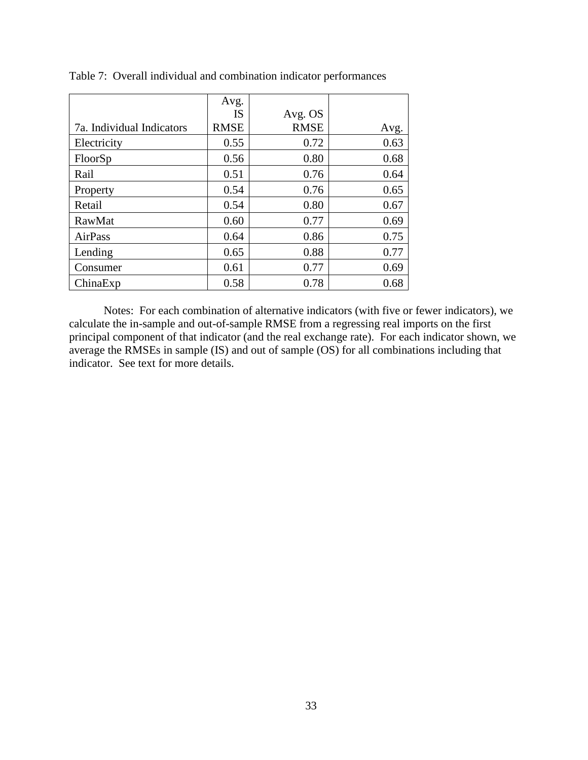|                           | Avg.        |             |      |
|---------------------------|-------------|-------------|------|
|                           | IS          | Avg. OS     |      |
| 7a. Individual Indicators | <b>RMSE</b> | <b>RMSE</b> | Avg. |
| Electricity               | 0.55        | 0.72        | 0.63 |
| FloorSp                   | 0.56        | 0.80        | 0.68 |
| Rail                      | 0.51        | 0.76        | 0.64 |
| Property                  | 0.54        | 0.76        | 0.65 |
| Retail                    | 0.54        | 0.80        | 0.67 |
| RawMat                    | 0.60        | 0.77        | 0.69 |
| AirPass                   | 0.64        | 0.86        | 0.75 |
| Lending                   | 0.65        | 0.88        | 0.77 |
| Consumer                  | 0.61        | 0.77        | 0.69 |
| ChinaExp                  | 0.58        | 0.78        | 0.68 |

Table 7: Overall individual and combination indicator performances

Notes: For each combination of alternative indicators (with five or fewer indicators), we calculate the in-sample and out-of-sample RMSE from a regressing real imports on the first principal component of that indicator (and the real exchange rate). For each indicator shown, we average the RMSEs in sample (IS) and out of sample (OS) for all combinations including that indicator. See text for more details.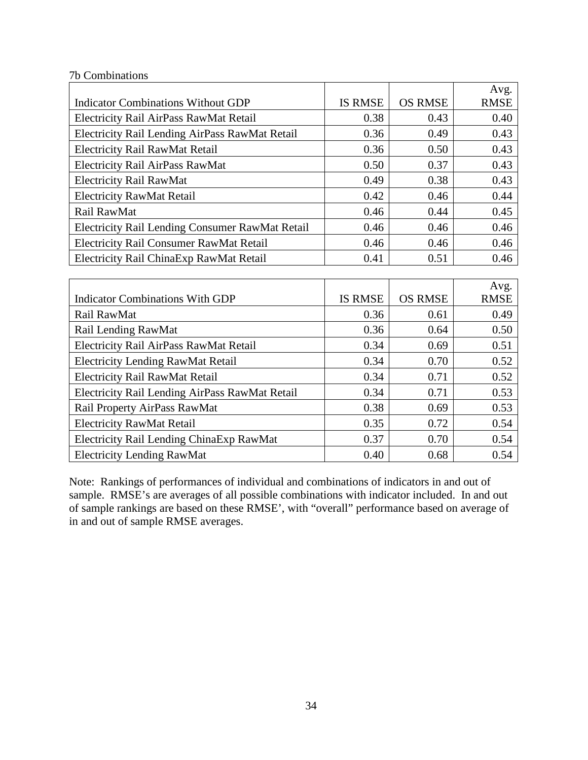|                                                 |                |                | Avg.        |
|-------------------------------------------------|----------------|----------------|-------------|
| Indicator Combinations Without GDP              | <b>IS RMSE</b> | <b>OS RMSE</b> | <b>RMSE</b> |
| Electricity Rail AirPass RawMat Retail          | 0.38           | 0.43           | 0.40        |
| Electricity Rail Lending AirPass RawMat Retail  | 0.36           | 0.49           | 0.43        |
| <b>Electricity Rail RawMat Retail</b>           | 0.36           | 0.50           | 0.43        |
| <b>Electricity Rail AirPass RawMat</b>          | 0.50           | 0.37           | 0.43        |
| <b>Electricity Rail RawMat</b>                  | 0.49           | 0.38           | 0.43        |
| <b>Electricity RawMat Retail</b>                | 0.42           | 0.46           | 0.44        |
| Rail RawMat                                     | 0.46           | 0.44           | 0.45        |
| Electricity Rail Lending Consumer RawMat Retail | 0.46           | 0.46           | 0.46        |
| <b>Electricity Rail Consumer RawMat Retail</b>  | 0.46           | 0.46           | 0.46        |
| Electricity Rail China Exp RawMat Retail        | 0.41           | 0.51           | 0.46        |
|                                                 |                |                |             |

|                                                |                |                | Avg.        |
|------------------------------------------------|----------------|----------------|-------------|
| <b>Indicator Combinations With GDP</b>         | <b>IS RMSE</b> | <b>OS RMSE</b> | <b>RMSE</b> |
| Rail RawMat                                    | 0.36           | 0.61           | 0.49        |
| Rail Lending RawMat                            | 0.36           | 0.64           | 0.50        |
| Electricity Rail AirPass RawMat Retail         | 0.34           | 0.69           | 0.51        |
| <b>Electricity Lending RawMat Retail</b>       | 0.34           | 0.70           | 0.52        |
| <b>Electricity Rail RawMat Retail</b>          | 0.34           | 0.71           | 0.52        |
| Electricity Rail Lending AirPass RawMat Retail | 0.34           | 0.71           | 0.53        |
| Rail Property AirPass RawMat                   | 0.38           | 0.69           | 0.53        |
| <b>Electricity RawMat Retail</b>               | 0.35           | 0.72           | 0.54        |
| Electricity Rail Lending ChinaExp RawMat       | 0.37           | 0.70           | 0.54        |
| <b>Electricity Lending RawMat</b>              | 0.40           | 0.68           | 0.54        |

Note: Rankings of performances of individual and combinations of indicators in and out of sample. RMSE's are averages of all possible combinations with indicator included. In and out of sample rankings are based on these RMSE', with "overall" performance based on average of in and out of sample RMSE averages.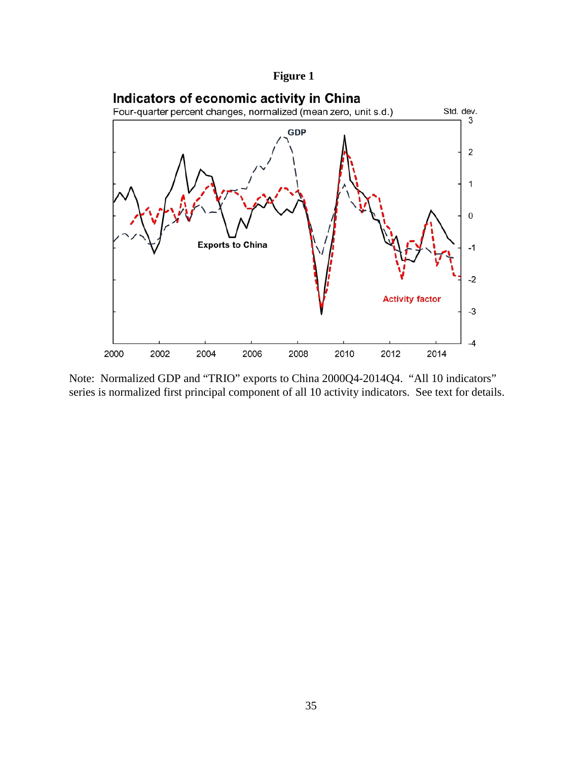**Figure 1**



Note: Normalized GDP and "TRIO" exports to China 2000Q4-2014Q4. "All 10 indicators" series is normalized first principal component of all 10 activity indicators. See text for details.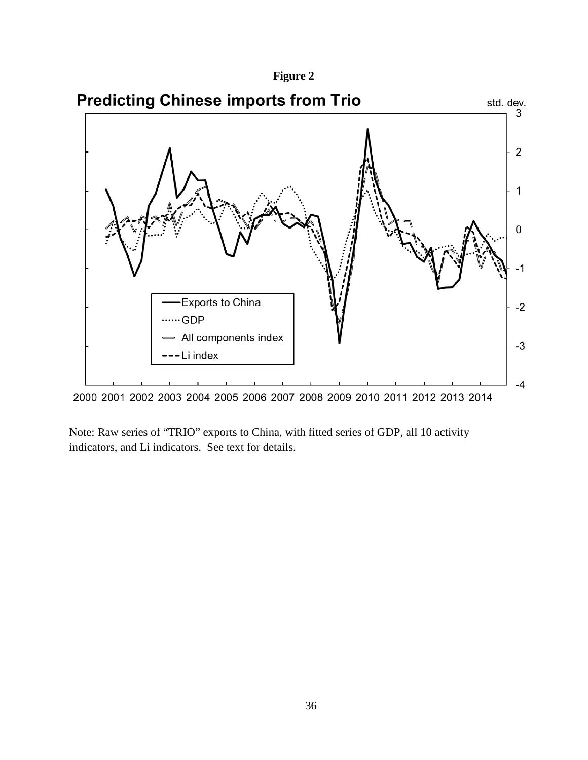



Note: Raw series of "TRIO" exports to China, with fitted series of GDP, all 10 activity indicators, and Li indicators. See text for details.